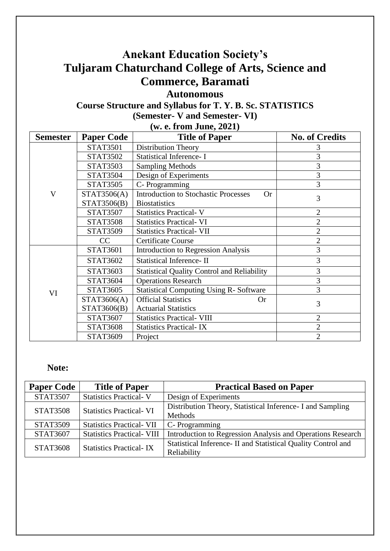# **Anekant Education Society's Tuljaram Chaturchand College of Arts, Science and Commerce, Baramati**

**Autonomous**

## **Course Structure and Syllabus for T. Y. B. Sc. STATISTICS (Semester- V and Semester- VI) (w. e. from June, 2021)**

| <b>Semester</b> | <b>Paper Code</b>               | w. C. II oni June, 2021)<br><b>Title of Paper</b>  | <b>No. of Credits</b> |
|-----------------|---------------------------------|----------------------------------------------------|-----------------------|
|                 | <b>STAT3501</b>                 | <b>Distribution Theory</b>                         |                       |
|                 | <b>STAT3502</b>                 | <b>Statistical Inference- I</b>                    | 3                     |
|                 | <b>STAT3503</b>                 |                                                    | 3                     |
|                 |                                 | <b>Sampling Methods</b>                            |                       |
|                 | <b>STAT3504</b>                 | Design of Experiments                              | 3                     |
|                 | <b>STAT3505</b>                 | C-Programming                                      | 3                     |
| $\mathbf{V}$    | STAT3506(A)                     | <b>Introduction to Stochastic Processes</b><br>Or  | 3                     |
|                 | STAT3506(B)                     | <b>Biostatistics</b>                               |                       |
|                 | <b>STAT3507</b>                 | <b>Statistics Practical-V</b>                      | 2                     |
|                 | <b>STAT3508</b>                 | <b>Statistics Practical-VI</b>                     | $\overline{2}$        |
|                 | <b>STAT3509</b>                 | <b>Statistics Practical- VII</b>                   | $\overline{2}$        |
|                 | CC<br><b>Certificate Course</b> |                                                    | $\overline{2}$        |
|                 | <b>STAT3601</b>                 | <b>Introduction to Regression Analysis</b>         | 3                     |
|                 | <b>STAT3602</b>                 | <b>Statistical Inference-II</b>                    | 3                     |
|                 | <b>STAT3603</b>                 | <b>Statistical Quality Control and Reliability</b> | 3                     |
|                 | <b>STAT3604</b>                 | <b>Operations Research</b>                         | 3                     |
| VI              | <b>STAT3605</b>                 | <b>Statistical Computing Using R- Software</b>     | 3                     |
|                 | STAT3606(A)                     | <b>Official Statistics</b><br><b>Or</b>            | 3                     |
|                 | STAT3606(B)                     | <b>Actuarial Statistics</b>                        |                       |
|                 | <b>STAT3607</b>                 | <b>Statistics Practical- VIII</b>                  | 2                     |
|                 | <b>STAT3608</b>                 | <b>Statistics Practical-IX</b>                     | $\overline{2}$        |
|                 | STAT3609                        | Project                                            | $\overline{2}$        |

## **Note:**

| <b>Paper Code</b> | <b>Title of Paper</b>             | <b>Practical Based on Paper</b>                               |
|-------------------|-----------------------------------|---------------------------------------------------------------|
| <b>STAT3507</b>   | <b>Statistics Practical-V</b>     | Design of Experiments                                         |
| <b>STAT3508</b>   | <b>Statistics Practical-VI</b>    | Distribution Theory, Statistical Inference - I and Sampling   |
|                   |                                   | Methods                                                       |
| <b>STAT3509</b>   | <b>Statistics Practical- VII</b>  | C-Programming                                                 |
| <b>STAT3607</b>   | <b>Statistics Practical- VIII</b> | Introduction to Regression Analysis and Operations Research   |
| <b>STAT3608</b>   | <b>Statistics Practical-IX</b>    | Statistical Inference- II and Statistical Quality Control and |
|                   |                                   | Reliability                                                   |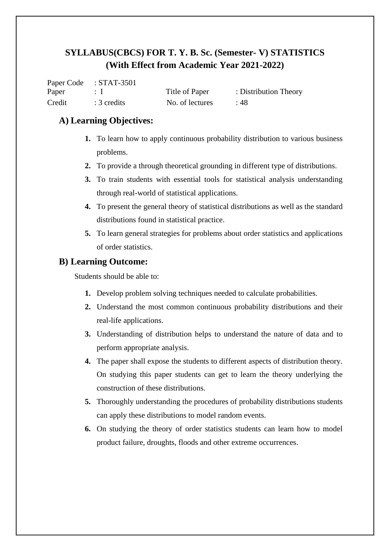|        | Paper Code : STAT-3501 |                 |                       |
|--------|------------------------|-----------------|-----------------------|
| Paper  |                        | Title of Paper  | : Distribution Theory |
| Credit | $: 3$ credits          | No. of lectures | :48                   |

## **A) Learning Objectives:**

- **1.** To learn how to apply continuous probability distribution to various business problems.
- **2.** To provide a through theoretical grounding in different type of distributions.
- **3.** To train students with essential tools for statistical analysis understanding through real-world of statistical applications.
- **4.** To present the general theory of statistical distributions as well as the standard distributions found in statistical practice.
- **5.** To learn general strategies for problems about order statistics and applications of order statistics.

## **B) Learning Outcome:**

Students should be able to:

- **1.** Develop problem solving techniques needed to calculate probabilities.
- **2.** Understand the most common continuous probability distributions and their real-life applications.
- **3.** Understanding of distribution helps to understand the nature of data and to perform appropriate analysis.
- **4.** The paper shall expose the students to different aspects of distribution theory. On studying this paper students can get to learn the theory underlying the construction of these distributions.
- **5.** Thoroughly understanding the procedures of probability distributions students can apply these distributions to model random events.
- **6.** On studying the theory of order statistics students can learn how to model product failure, droughts, floods and other extreme occurrences.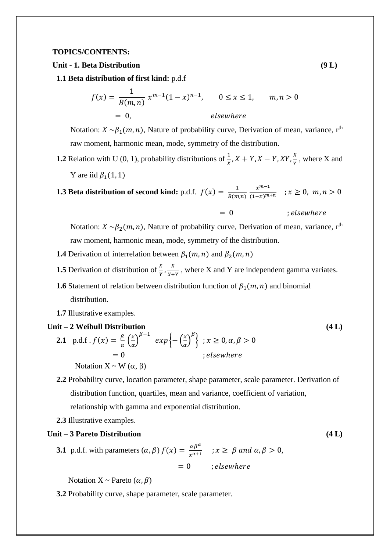#### **TOPICS/CONTENTS:**

#### **Unit - 1. Beta Distribution (9 L)**

**1.1 Beta distribution of first kind:** p.d.f

$$
f(x) = \frac{1}{B(m,n)} x^{m-1} (1-x)^{n-1}, \qquad 0 \le x \le 1, \qquad m, n > 0
$$
  
= 0, elsewhere

Notation:  $X \sim \beta_1(m, n)$ , Nature of probability curve, Derivation of mean, variance, r<sup>th</sup> raw moment, harmonic mean, mode, symmetry of the distribution.

**1.2** Relation with U (0, 1), probability distributions of  $\frac{1}{X}$ ,  $X + Y$ ,  $X - Y$ ,  $XY$ ,  $\frac{X}{Y}$  $\frac{A}{Y}$ , where X and Y are iid  $\beta_1(1, 1)$ 

#### **1.3 Beta distribution of second kind:** p.d.f.  $f(x) = \frac{1}{R(x)}$  $B(m,n)$  $x^{m-1}$  $\frac{x}{(1-x)^{m+n}}$  ;  $x \ge 0$ ,  $m, n > 0$

$$
= 0 \t\t ; elsewhere
$$

Notation:  $X \sim \beta_2(m, n)$ , Nature of probability curve, Derivation of mean, variance, r<sup>th</sup> raw moment, harmonic mean, mode, symmetry of the distribution.

- **1.4** Derivation of interrelation between  $\beta_1(m, n)$  and  $\beta_2(m, n)$
- **1.5** Derivation of distribution of  $\frac{X}{Y}$ ,  $\frac{X}{X+Y}$  $\frac{\lambda}{X+Y}$ , where X and Y are independent gamma variates.
- **1.6** Statement of relation between distribution function of  $\beta_1(m, n)$  and binomial distribution.
- **1.7** Illustrative examples.

### **Unit – 2 Weibull Distribution (4 L)**

- **2.1** p.d.f.  $f(x) = \frac{\beta}{x}$  $\frac{\beta}{\alpha}$   $\left(\frac{x}{\alpha}\right)$  $\left(\frac{x}{\alpha}\right)^{\beta-1}$  exp $\left\{-\left(\frac{x}{\alpha}\right)^{\beta}$  $\left\{\frac{x}{\alpha}\right\}^{\beta}\bigg\}$ ;  $x \geq 0, \alpha, \beta > 0$  $: elsewhere$ Notation  $X \sim W(\alpha, \beta)$
- **2.2** Probability curve, location parameter, shape parameter, scale parameter. Derivation of distribution function, quartiles, mean and variance, coefficient of variation, relationship with gamma and exponential distribution.
- **2.3** Illustrative examples.

## **Unit – 3 Pareto Distribution (4 L)**

**3.1** p.d.f. with parameters 
$$
(\alpha, \beta)
$$
  $f(x) = \frac{\alpha \beta^{\alpha}}{x^{\alpha+1}}$  ;  $x \ge \beta$  and  $\alpha, \beta > 0$ ,  
= 0 ; elsewhere

Notation X ~ Pareto  $(\alpha, \beta)$ 

**3.2** Probability curve, shape parameter, scale parameter.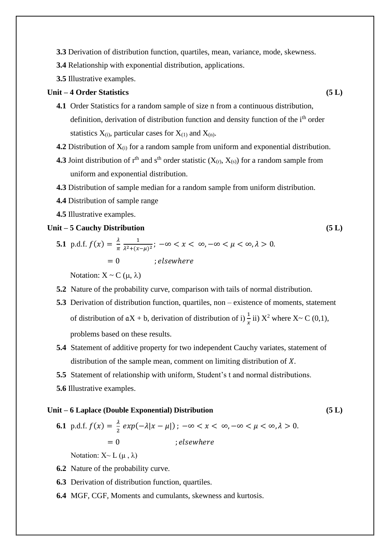- **3.3** Derivation of distribution function, quartiles, mean, variance, mode, skewness.
- **3.4** Relationship with exponential distribution, applications.
- **3.5** Illustrative examples.

### **Unit – 4 Order Statistics (5 L)**

- **4.1** Order Statistics for a random sample of size n from a continuous distribution, definition, derivation of distribution function and density function of the i<sup>th</sup> order statistics  $X_{(i)}$ , particular cases for  $X_{(1)}$  and  $X_{(n)}$ .
- **4.2** Distribution of  $X_{(i)}$  for a random sample from uniform and exponential distribution.
- **4.3** Joint distribution of  $r<sup>th</sup>$  and  $s<sup>th</sup>$  order statistic ( $X<sub>(r)</sub>, X<sub>(s)</sub>$ ) for a random sample from uniform and exponential distribution.
- **4.3** Distribution of sample median for a random sample from uniform distribution.
- **4.4** Distribution of sample range
- **4.5** Illustrative examples.

#### **Unit – 5 Cauchy Distribution (5 L)**

**5.1** p.d.f.  $f(x) = \frac{\lambda}{x}$  $\pi$ 1  $\frac{1}{\lambda^2 + (x-\mu)^2}$ ;  $-\infty < x < \infty$ ,  $-\infty < \mu < \infty$ ,  $\lambda > 0$ .  $= 0$  ; elsewhere

Notation:  $X \sim C(\mu, \lambda)$ 

- **5.2** Nature of the probability curve, comparison with tails of normal distribution.
- **5.3** Derivation of distribution function, quartiles, non existence of moments, statement of distribution of  $aX + b$ , derivation of distribution of i)  $\frac{1}{x}$  ii)  $X^2$  where  $X \sim C(0,1)$ , problems based on these results.
- **5.4** Statement of additive property for two independent Cauchy variates, statement of distribution of the sample mean, comment on limiting distribution of  $X$ .
- **5.5** Statement of relationship with uniform, Student's t and normal distributions.
- **5.6** Illustrative examples.

#### **Unit – 6 Laplace (Double Exponential) Distribution (5 L)**

**6.1** p.d.f.  $f(x) = \frac{\lambda}{2}$  $\frac{\lambda}{2}$  exp( $-\lambda |x - \mu|$ );  $-\infty < x < \infty, -\infty < \mu < \infty, \lambda > 0$ .  $= 0$   $: elsewhere$ 

Notation:  $X \sim L(\mu, \lambda)$ 

- **6.2** Nature of the probability curve.
- **6.3** Derivation of distribution function, quartiles.
- **6.4** MGF, CGF, Moments and cumulants, skewness and kurtosis.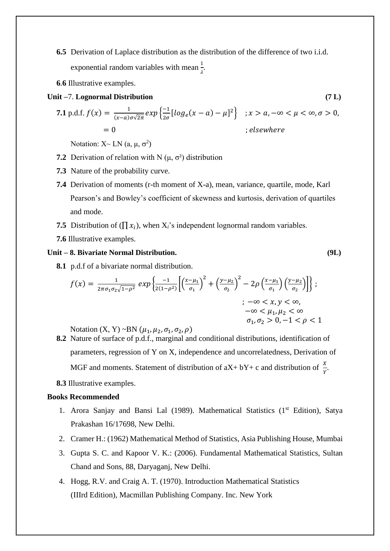- **6.5** Derivation of Laplace distribution as the distribution of the difference of two i.i.d. exponential random variables with mean  $\frac{1}{\lambda}$ .
- **6**.**6** Illustrative examples.
- **Unit –**7. **Lognormal Distribution (7 L)**

$$
\begin{aligned} \textbf{7.1 p.d.f. } f(x) &= \frac{1}{(x-a)\sigma\sqrt{2\pi}} \exp\left\{ \frac{-1}{2\sigma} \left[ \log_e(x-a) - \mu \right]^2 \right\} & ; x > a, -\infty < \mu < \infty, \sigma > 0, \\ &= 0 & ; \text{elsewhere} \end{aligned}
$$

Notation:  $X \sim LN(a, \mu, \sigma^2)$ 

- **7.2** Derivation of relation with N  $(\mu, \sigma^2)$  distribution
- **7.3** Nature of the probability curve.
- **7.4** Derivation of moments (r-th moment of X-a), mean, variance, quartile, mode, Karl Pearson's and Bowley's coefficient of skewness and kurtosis, derivation of quartiles and mode.
- **7.5** Distribution of  $(\prod x_i)$ , when  $X_i$ 's independent lognormal random variables.
- **7.6** Illustrative examples.

### **Unit – 8. Bivariate Normal Distribution. (9L)**

**8.1** p.d.f of a bivariate normal distribution.

$$
f(x) = \frac{1}{2\pi\sigma_1\sigma_2\sqrt{1-\rho^2}} \exp\left\{\frac{-1}{2(1-\rho^2)} \left[ \left(\frac{x-\mu_1}{\sigma_1}\right)^2 + \left(\frac{y-\mu_2}{\sigma_2}\right)^2 - 2\rho \left(\frac{x-\mu_1}{\sigma_1}\right) \left(\frac{y-\mu_2}{\sigma_2}\right) \right] \right\};
$$
  

$$
; -\infty < x, y < \infty,
$$
  

$$
-\infty < \mu_1, \mu_2 < \infty
$$
  

$$
\sigma_1, \sigma_2 > 0, -1 < \rho < 1
$$

Notation  $(X, Y) \sim BN(\mu_1, \mu_2, \sigma_1, \sigma_2, \rho)$ 

- **8.2** Nature of surface of p.d.f., marginal and conditional distributions, identification of parameters, regression of Y on X, independence and uncorrelatedness, Derivation of MGF and moments. Statement of distribution of  $aX + bY + c$  and distribution of  $\frac{X}{Y}$ .
- **8.3** Illustrative examples.

#### **Books Recommended**

- 1. Arora Sanjay and Bansi Lal (1989). Mathematical Statistics (1<sup>st</sup> Edition), Satya Prakashan 16/17698, New Delhi.
- 2. Cramer H.: (1962) Mathematical Method of Statistics, Asia Publishing House, Mumbai
- 3. Gupta S. C. and Kapoor V. K.: (2006). Fundamental Mathematical Statistics, Sultan Chand and Sons, 88, Daryaganj, New Delhi.
- 4. Hogg, R.V. and Craig A. T. (1970). Introduction Mathematical Statistics (IIIrd Edition), Macmillan Publishing Company. Inc. New York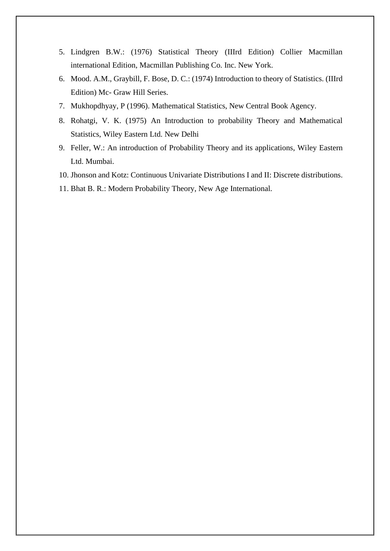- 5. Lindgren B.W.: (1976) Statistical Theory (IIIrd Edition) Collier Macmillan international Edition, Macmillan Publishing Co. Inc. New York.
- 6. Mood. A.M., Graybill, F. Bose, D. C.: (1974) Introduction to theory of Statistics. (IIIrd Edition) Mc- Graw Hill Series.
- 7. Mukhopdhyay, P (1996). Mathematical Statistics, New Central Book Agency.
- 8. Rohatgi, V. K. (1975) An Introduction to probability Theory and Mathematical Statistics, Wiley Eastern Ltd. New Delhi
- 9. Feller, W.: An introduction of Probability Theory and its applications, Wiley Eastern Ltd. Mumbai.
- 10. Jhonson and Kotz: Continuous Univariate Distributions I and II: Discrete distributions.
- 11. Bhat B. R.: Modern Probability Theory, New Age International.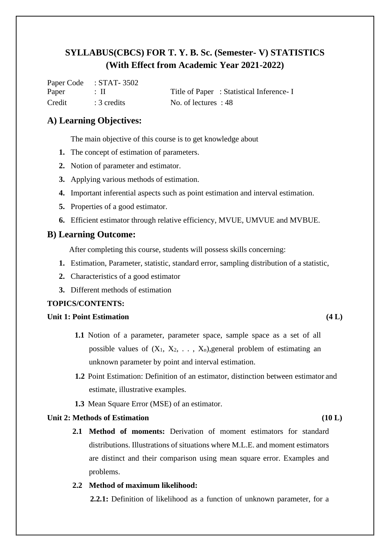|        | Paper Code : $\triangle$ 1A1-3302 |                                         |
|--------|-----------------------------------|-----------------------------------------|
| Paper  | - : 11                            | Title of Paper: Statistical Inference-I |
| Credit | $\therefore$ 3 credits            | No. of lectures : 48                    |

## **A) Learning Objectives:**

The main objective of this course is to get knowledge about

- **1.** The concept of estimation of parameters.
- **2.** Notion of parameter and estimator.

 $\sigma$ Paper  $\sigma$   $\sigma$ 

- **3.** Applying various methods of estimation.
- **4.** Important inferential aspects such as point estimation and interval estimation.
- **5.** Properties of a good estimator.
- **6.** Efficient estimator through relative efficiency, MVUE, UMVUE and MVBUE.

## **B) Learning Outcome:**

After completing this course, students will possess skills concerning:

- **1.** Estimation, Parameter, statistic, standard error, sampling distribution of a statistic,
- **2.** Characteristics of a good estimator
- **3.** Different methods of estimation

### **TOPICS/CONTENTS:**

#### **Unit 1: Point Estimation (4 L)**

- **1.1** Notion of a parameter, parameter space, sample space as a set of all possible values of  $(X_1, X_2, \ldots, X_n)$ , general problem of estimating an unknown parameter by point and interval estimation.
- **1.2** Point Estimation: Definition of an estimator, distinction between estimator and estimate, illustrative examples.
- **1.3** Mean Square Error (MSE) of an estimator.

#### **Unit 2: Methods of Estimation (10 L)**

**2.1 Method of moments:** Derivation of moment estimators for standard distributions. Illustrations of situations where M.L.E. and moment estimators are distinct and their comparison using mean square error. Examples and problems.

## **2.2 Method of maximum likelihood:**

 **2.2.1:** Definition of likelihood as a function of unknown parameter, for a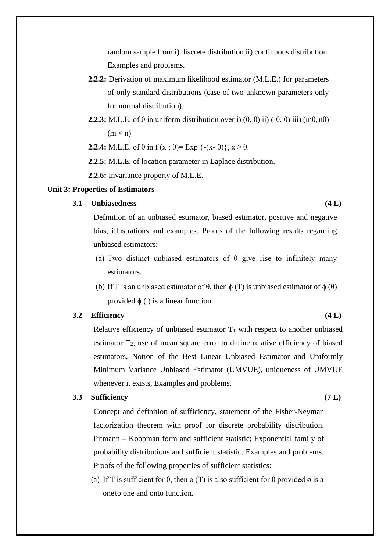random sample from i) discrete distribution ii) continuous distribution. Examples and problems.

- **2.2.2:** Derivation of maximum likelihood estimator (M.L.E.) for parameters of only standard distributions (case of two unknown parameters only for normal distribution).
- **2.2.3:** M.L.E. of  $\theta$  in uniform distribution over i)  $(0, \theta)$  ii)  $(-\theta, \theta)$  iii)  $(m\theta, n\theta)$  $(m < n)$

**2.2.4:** M.L.E. of  $\theta$  in  $f(x; \theta) = \text{Exp } \{-(x-\theta)\}, x > \theta$ .

 **2.2.5:** M.L.E. of location parameter in Laplace distribution.

**2.2.6:** Invariance property of M.L.E.

#### **Unit 3: Properties of Estimators**

#### **3.1 Unbiasedness (4 L)**

Definition of an unbiased estimator, biased estimator, positive and negative bias, illustrations and examples. Proofs of the following results regarding unbiased estimators:

- (a) Two distinct unbiased estimators of  $\theta$  give rise to infinitely many estimators.
- (b) If T is an unbiased estimator of  $\theta$ , then  $\phi(T)$  is unbiased estimator of  $\phi(\theta)$ provided  $\phi$  (.) is a linear function.

### **3.2 Efficiency (4 L)**

Relative efficiency of unbiased estimator  $T_1$  with respect to another unbiased estimator T2, use of mean square error to define relative efficiency of biased estimators, Notion of the Best Linear Unbiased Estimator and Uniformly Minimum Variance Unbiased Estimator (UMVUE), uniqueness of UMVUE whenever it exists, Examples and problems.

## **3.3 Sufficiency (7 L)**

Concept and definition of sufficiency, statement of the Fisher-Neyman factorization theorem with proof for discrete probability distribution. Pitmann – Koopman form and sufficient statistic; Exponential family of probability distributions and sufficient statistic. Examples and problems. Proofs of the following properties of sufficient statistics:

(a) If T is sufficient for  $\theta$ , then  $\alpha$  (T) is also sufficient for  $\theta$  provided  $\alpha$  is a oneto one and onto function.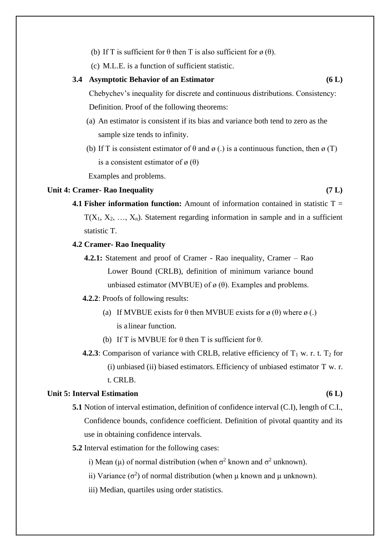- (b) If T is sufficient for  $\theta$  then T is also sufficient for  $\alpha(\theta)$ .
- (c) M.L.E. is a function of sufficient statistic.

#### **3.4 Asymptotic Behavior of an Estimator (6 L)**

Chebychev's inequality for discrete and continuous distributions. Consistency: Definition. Proof of the following theorems:

- (a) An estimator is consistent if its bias and variance both tend to zero as the sample size tends to infinity.
- (b) If T is consistent estimator of  $\theta$  and  $\alpha$  (.) is a continuous function, then  $\alpha$  (T) is a consistent estimator of  $\varnothing$  ( $\theta$ )

Examples and problems.

## **Unit 4: Cramer- Rao Inequality (7 L)**

**4.1 Fisher information function:** Amount of information contained in statistic T =  $T(X_1, X_2, \ldots, X_n)$ . Statement regarding information in sample and in a sufficient statistic T.

#### **4.2 Cramer- Rao Inequality**

**4.2.1:** Statement and proof of Cramer - Rao inequality, Cramer – Rao Lower Bound (CRLB), definition of minimum variance bound unbiased estimator (MVBUE) of  $\varnothing$  ( $\theta$ ). Examples and problems.

#### **4.2.2**: Proofs of following results:

- (a) If MVBUE exists for  $\theta$  then MVBUE exists for  $\varnothing$  ( $\theta$ ) where  $\varnothing$  (.) is a linear function.
- (b) If T is MVBUE for  $\theta$  then T is sufficient for  $\theta$ .
- **4.2.3**: Comparison of variance with CRLB, relative efficiency of  $T_1$  w. r. t.  $T_2$  for (i) unbiased (ii) biased estimators. Efficiency of unbiased estimator T w. r. t. CRLB.

#### **Unit 5: Interval Estimation (6 L)**

- **5.1** Notion of interval estimation, definition of confidence interval (C.I), length of C.I., Confidence bounds, confidence coefficient. Definition of pivotal quantity and its use in obtaining confidence intervals.
- **5.2** Interval estimation for the following cases:
- i) Mean ( $\mu$ ) of normal distribution (when  $\sigma^2$  known and  $\sigma^2$  unknown).
- ii) Variance ( $\sigma^2$ ) of normal distribution (when  $\mu$  known and  $\mu$  unknown).
	- iii) Median, quartiles using order statistics.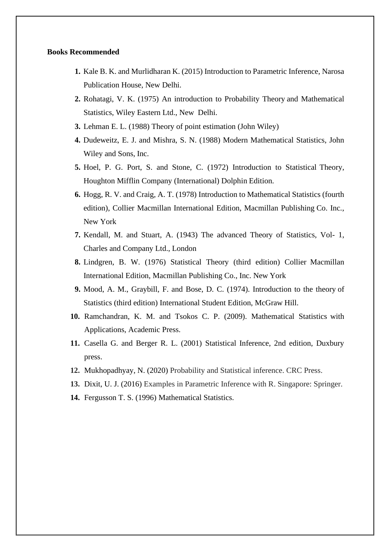#### **Books Recommended**

- **1.** Kale B. K. and Murlidharan K. (2015) Introduction to Parametric Inference, Narosa Publication House, New Delhi.
- **2.** Rohatagi, V. K. (1975) An introduction to Probability Theory and Mathematical Statistics, Wiley Eastern Ltd., New Delhi.
- **3.** Lehman E. L. (1988) Theory of point estimation (John Wiley)
- **4.** Dudeweitz, E. J. and Mishra, S. N. (1988) Modern Mathematical Statistics, John Wiley and Sons, Inc.
- **5.** Hoel, P. G. Port, S. and Stone, C. (1972) Introduction to Statistical Theory, Houghton Mifflin Company (International) Dolphin Edition.
- **6.** Hogg, R. V. and Craig, A. T. (1978) Introduction to Mathematical Statistics (fourth edition), Collier Macmillan International Edition, Macmillan Publishing Co. Inc., New York
- **7.** Kendall, M. and Stuart, A. (1943) The advanced Theory of Statistics, Vol- 1, Charles and Company Ltd., London
- **8.** Lindgren, B. W. (1976) Statistical Theory (third edition) Collier Macmillan International Edition, Macmillan Publishing Co., Inc. New York
- **9.** Mood, A. M., Graybill, F. and Bose, D. C. (1974). Introduction to the theory of Statistics (third edition) International Student Edition, McGraw Hill.
- **10.** Ramchandran, K. M. and Tsokos C. P. (2009). Mathematical Statistics with Applications, Academic Press.
- **11.** Casella G. and Berger R. L. (2001) Statistical Inference, 2nd edition, Duxbury press.
- **12.** Mukhopadhyay, N. (2020) Probability and Statistical inference. CRC Press.
- **13.** Dixit, U. J. (2016) Examples in Parametric Inference with R. Singapore: Springer.
- **14.** Fergusson T. S. (1996) Mathematical Statistics.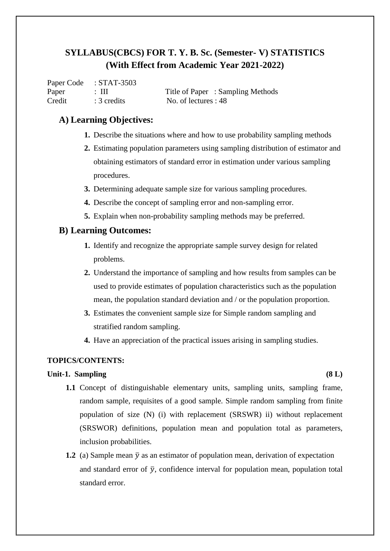Paper Code : STAT-3503 Paper : III Title of Paper : Sampling Methods Credit : 3 credits No. of lectures : 48

## **A) Learning Objectives:**

- **1.** Describe the situations where and how to use probability sampling methods
- **2.** Estimating population parameters using sampling distribution of estimator and obtaining estimators of standard error in estimation under various sampling procedures.
- **3.** Determining adequate sample size for various sampling procedures.
- **4.** Describe the concept of sampling error and non-sampling error.
- **5.** Explain when non-probability sampling methods may be preferred.

## **B) Learning Outcomes:**

- **1.** Identify and recognize the appropriate sample survey design for related problems.
- **2.** Understand the importance of sampling and how results from samples can be used to provide estimates of population characteristics such as the population mean, the population standard deviation and / or the population proportion.
- **3.** Estimates the convenient sample size for Simple random sampling and stratified random sampling.
- **4.** Have an appreciation of the practical issues arising in sampling studies.

## **TOPICS/CONTENTS:**

### **Unit-1. Sampling (8 L)**

- **1.1** Concept of distinguishable elementary units, sampling units, sampling frame, random sample, requisites of a good sample. Simple random sampling from finite population of size (N) (i) with replacement (SRSWR) ii) without replacement (SRSWOR) definitions, population mean and population total as parameters, inclusion probabilities.
- **1.2** (a) Sample mean  $\bar{v}$  as an estimator of population mean, derivation of expectation and standard error of  $\bar{y}$ , confidence interval for population mean, population total standard error.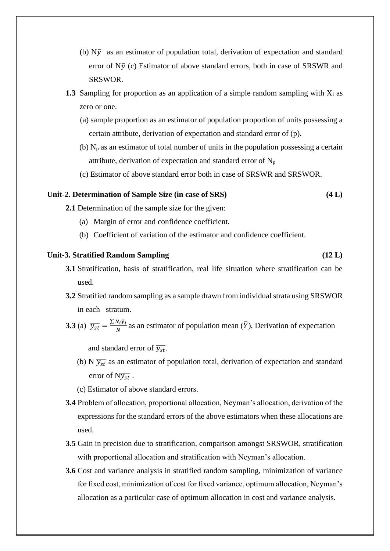- (b)  $N\bar{y}$  as an estimator of population total, derivation of expectation and standard error of  $N\bar{v}$  (c) Estimator of above standard errors, both in case of SRSWR and SRSWOR.
- **1.3** Sampling for proportion as an application of a simple random sampling with  $X_i$  as zero or one.
	- (a) sample proportion as an estimator of population proportion of units possessing a certain attribute, derivation of expectation and standard error of (p).
	- (b)  $N_p$  as an estimator of total number of units in the population possessing a certain attribute, derivation of expectation and standard error of  $N_p$
	- (c) Estimator of above standard error both in case of SRSWR and SRSWOR.

#### **Unit-2. Determination of Sample Size (in case of SRS) (4 L)**

**2.1** Determination of the sample size for the given:

- (a) Margin of error and confidence coefficient.
- (b) Coefficient of variation of the estimator and confidence coefficient.

#### **Unit-3. Stratified Random Sampling (12 L)**

- **3.1** Stratification, basis of stratification, real life situation where stratification can be used.
- **3.2** Stratified random sampling as a sample drawn from individual strata using SRSWOR in each stratum.
- **3.3** (a)  $\overline{y_{st}} = \frac{\sum N_i \bar{y}_i}{N}$  $\frac{N_i y_i}{N}$  as an estimator of population mean  $(\overline{Y})$ , Derivation of expectation

and standard error of  $\overline{y_{st}}$ .

- (b) N  $\overline{y_{st}}$  as an estimator of population total, derivation of expectation and standard error of  $N\bar{y}_{st}$ .
- (c) Estimator of above standard errors.
- **3.4** Problem of allocation, proportional allocation, Neyman's allocation, derivation of the expressions for the standard errors of the above estimators when these allocations are used.
- **3.5** Gain in precision due to stratification, comparison amongst SRSWOR, stratification with proportional allocation and stratification with Neyman's allocation.
- **3.6** Cost and variance analysis in stratified random sampling, minimization of variance for fixed cost, minimization of cost for fixed variance, optimum allocation, Neyman's allocation as a particular case of optimum allocation in cost and variance analysis.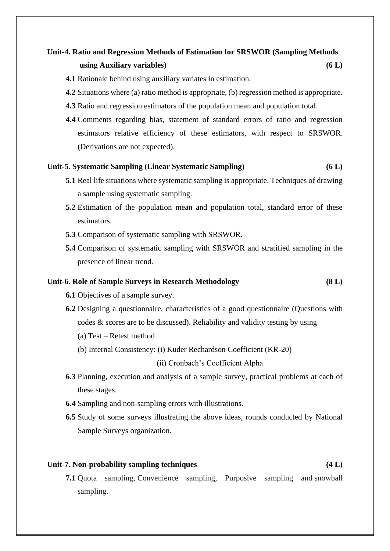## **Unit-4. Ratio and Regression Methods of Estimation for SRSWOR (Sampling Methods using Auxiliary variables) (6 L)**

- **4.1** Rationale behind using auxiliary variates in estimation.
- **4.2** Situations where (a) ratio method is appropriate, (b) regression method is appropriate.
- **4.3** Ratio and regression estimators of the population mean and population total.
- **4.4** Comments regarding bias, statement of standard errors of ratio and regression estimators relative efficiency of these estimators, with respect to SRSWOR. (Derivations are not expected).

#### **Unit-5. Systematic Sampling (Linear Systematic Sampling) (6 L)**

- **5.1** Real life situations where systematic sampling is appropriate. Techniques of drawing a sample using systematic sampling.
- **5.2** Estimation of the population mean and population total, standard error of these estimators.
- **5.3** Comparison of systematic sampling with SRSWOR.
- **5.4** Comparison of systematic sampling with SRSWOR and stratified sampling in the presence of linear trend.

#### **Unit-6. Role of Sample Surveys in Research Methodology (8 L)**

- **6.1** Objectives of a sample survey.
- **6.2** Designing a questionnaire, characteristics of a good questionnaire (Questions with codes & scores are to be discussed). Reliability and validity testing by using
	- (a) Test Retest method
	- (b) Internal Consistency: (i) Kuder Rechardson Coefficient (KR-20)

(ii) Cronbach's Coefficient Alpha

- **6.3** Planning, execution and analysis of a sample survey, practical problems at each of these stages.
- **6.4** Sampling and non-sampling errors with illustrations.
- **6.5** Study of some surveys illustrating the above ideas, rounds conducted by National Sample Surveys organization.

### **Unit-7. Non-probability sampling techniques (4 L)**

**7.1** Quota sampling, Convenience sampling, Purposive sampling and snowball sampling.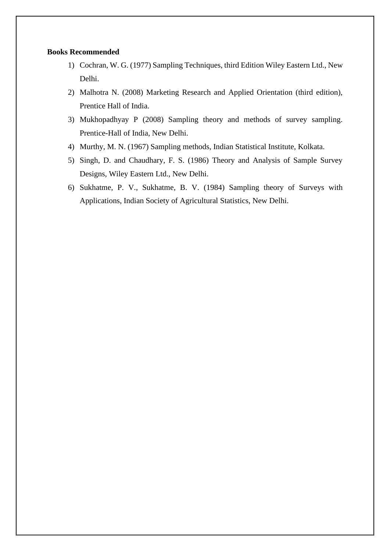#### **Books Recommended**

- 1) Cochran, W. G. (1977) Sampling Techniques, third Edition Wiley Eastern Ltd., New Delhi.
- 2) Malhotra N. (2008) Marketing Research and Applied Orientation (third edition), Prentice Hall of India.
- 3) Mukhopadhyay P (2008) Sampling theory and methods of survey sampling. Prentice-Hall of India, New Delhi.
- 4) Murthy, M. N. (1967) Sampling methods, Indian Statistical Institute, Kolkata.
- 5) Singh, D. and Chaudhary, F. S. (1986) Theory and Analysis of Sample Survey Designs, Wiley Eastern Ltd., New Delhi.
- 6) Sukhatme, P. V., Sukhatme, B. V. (1984) Sampling theory of Surveys with Applications, Indian Society of Agricultural Statistics, New Delhi.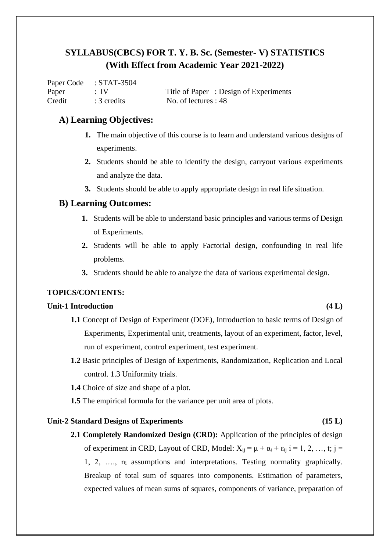|        | Paper Code : STAT-3504 |                                       |
|--------|------------------------|---------------------------------------|
| Paper  | $\pm$ IV               | Title of Paper: Design of Experiments |
| Credit | $: 3$ credits          | No. of lectures : 48                  |

## **A) Learning Objectives:**

- **1.** The main objective of this course is to learn and understand various designs of experiments.
- **2.** Students should be able to identify the design, carryout various experiments and analyze the data.
- **3.** Students should be able to apply appropriate design in real life situation.

## **B) Learning Outcomes:**

- **1.** Students will be able to understand basic principles and various terms of Design of Experiments.
- **2.** Students will be able to apply Factorial design, confounding in real life problems.
- **3.** Students should be able to analyze the data of various experimental design.

## **TOPICS/CONTENTS:**

## **Unit-1 Introduction (4 L)**

- **1.1** Concept of Design of Experiment (DOE), Introduction to basic terms of Design of Experiments, Experimental unit, treatments, layout of an experiment, factor, level, run of experiment, control experiment, test experiment.
- **1.2** Basic principles of Design of Experiments, Randomization, Replication and Local control. 1.3 Uniformity trials.
- **1.4** Choice of size and shape of a plot.
- **1.5** The empirical formula for the variance per unit area of plots.

## **Unit-2 Standard Designs of Experiments (15 L)**

**2.1 Completely Randomized Design (CRD):** Application of the principles of design of experiment in CRD, Layout of CRD, Model:  $X_{ii} = \mu + \alpha_i + \epsilon_{ii}$  i = 1, 2, …, t; i = 1, 2, …., n<sup>i</sup> assumptions and interpretations. Testing normality graphically. Breakup of total sum of squares into components. Estimation of parameters, expected values of mean sums of squares, components of variance, preparation of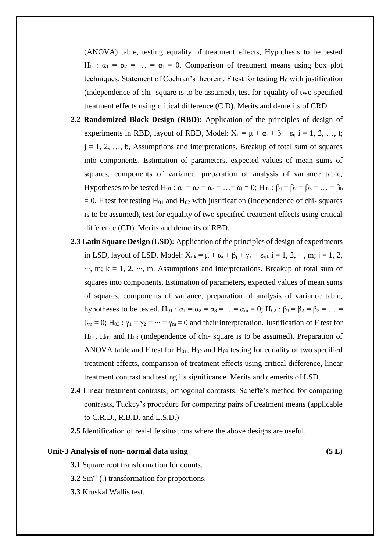(ANOVA) table, testing equality of treatment effects, Hypothesis to be tested H<sub>0</sub> :  $\alpha_1 = \alpha_2 = ... = \alpha_t = 0$ . Comparison of treatment means using box plot techniques. Statement of Cochran's theorem. F test for testing  $H_0$  with justification (independence of chi- square is to be assumed), test for equality of two specified treatment effects using critical difference (C.D). Merits and demerits of CRD.

- **2.2 Randomized Block Design (RBD):** Application of the principles of design of experiments in RBD, layout of RBD, Model:  $X_{ij} = \mu + \alpha_i + \beta_j + \varepsilon_{ij}$  i = 1, 2, ..., t;  $j = 1, 2, ..., b$ , Assumptions and interpretations. Breakup of total sum of squares into components. Estimation of parameters, expected values of mean sums of squares, components of variance, preparation of analysis of variance table, Hypotheses to be tested H<sub>01</sub> :  $\alpha_1 = \alpha_2 = \alpha_3 = ... = \alpha_t = 0$ ; H<sub>02</sub> :  $\beta_1 = \beta_2 = \beta_3 = ... = \beta_b$  $= 0$ . F test for testing H<sub>01</sub> and H<sub>02</sub> with justification (independence of chi- squares is to be assumed), test for equality of two specified treatment effects using critical difference (CD). Merits and demerits of RBD.
- **2.3 Latin Square Design (LSD):** Application of the principles of design of experiments in LSD, layout of LSD, Model:  $X_{ijk} = \mu + \alpha_i + \beta_j + \gamma_k + \varepsilon_{ijk}$  i = 1, 2,  $\cdots$ , m; j = 1, 2,  $\dots$ , m; k = 1, 2,  $\dots$ , m. Assumptions and interpretations. Breakup of total sum of squares into components. Estimation of parameters, expected values of mean sums of squares, components of variance, preparation of analysis of variance table, hypotheses to be tested. H<sub>01</sub> :  $\alpha_1 = \alpha_2 = \alpha_3 = ... = \alpha_m = 0$ ; H<sub>02</sub> :  $\beta_1 = \beta_2 = \beta_3 = ... =$  $\beta_m = 0$ ; H<sub>03</sub> :  $\gamma_1 = \gamma_2 = \cdots = \gamma_m = 0$  and their interpretation. Justification of F test for  $H<sub>01</sub>$ ,  $H<sub>02</sub>$  and  $H<sub>03</sub>$  (independence of chi-square is to be assumed). Preparation of ANOVA table and F test for  $H_{01}$ ,  $H_{02}$  and  $H_{03}$  testing for equality of two specified treatment effects, comparison of treatment effects using critical difference, linear treatment contrast and testing its significance. Merits and demerits of LSD.
- **2.4** Linear treatment contrasts, orthogonal contrasts. Scheffe's method for comparing contrasts, Tuckey's procedure for comparing pairs of treatment means (applicable to C.R.D., R.B.D. and L.S.D.)
- **2.5** Identification of real-life situations where the above designs are useful.

## **Unit-3 Analysis of non- normal data using (5 L)**

**3.1** Square root transformation for counts.

**3.2** Sin<sup>-1</sup> (.) transformation for proportions.

**3.3** Kruskal Wallis test.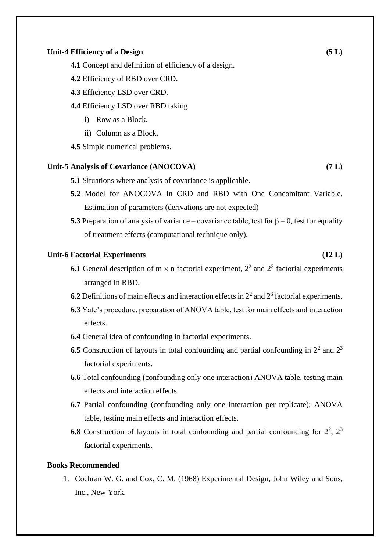#### **Unit-4 Efficiency of a Design (5 L)**

- **4.1** Concept and definition of efficiency of a design.
- **4.2** Efficiency of RBD over CRD.
- **4.3** Efficiency LSD over CRD.
- **4.4** Efficiency LSD over RBD taking
	- i) Row as a Block.
	- ii) Column as a Block.
- **4.5** Simple numerical problems.

#### **Unit-5 Analysis of Covariance (ANOCOVA) (7 L)**

- **5.1** Situations where analysis of covariance is applicable.
- **5.2** Model for ANOCOVA in CRD and RBD with One Concomitant Variable. Estimation of parameters (derivations are not expected)
- **5.3** Preparation of analysis of variance covariance table, test for  $\beta = 0$ , test for equality of treatment effects (computational technique only).

### **Unit-6 Factorial Experiments (12 L)**

- **6.1** General description of  $m \times n$  factorial experiment,  $2^2$  and  $2^3$  factorial experiments arranged in RBD.
- **6.2** Definitions of main effects and interaction effects in  $2<sup>2</sup>$  and  $2<sup>3</sup>$  factorial experiments.
- **6.3** Yate's procedure, preparation of ANOVA table, test for main effects and interaction effects.
- **6.4** General idea of confounding in factorial experiments.
- **6.5** Construction of layouts in total confounding and partial confounding in  $2<sup>2</sup>$  and  $2<sup>3</sup>$ factorial experiments.
- **6.6** Total confounding (confounding only one interaction) ANOVA table, testing main effects and interaction effects.
- **6.7** Partial confounding (confounding only one interaction per replicate); ANOVA table, testing main effects and interaction effects.
- **6.8** Construction of layouts in total confounding and partial confounding for  $2^2$ ,  $2^3$ factorial experiments.

### **Books Recommended**

1. Cochran W. G. and Cox, C. M. (1968) Experimental Design, John Wiley and Sons, Inc., New York.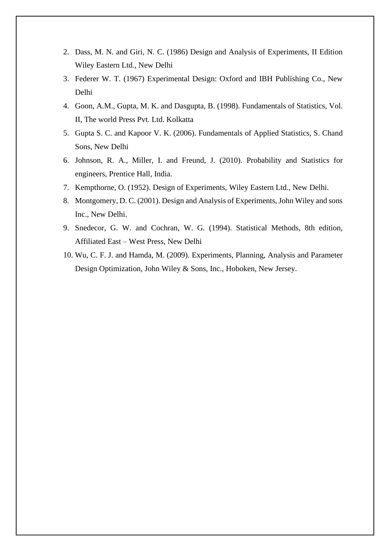- 2. Dass, M. N. and Giri, N. C. (1986) Design and Analysis of Experiments, II Edition Wiley Eastern Ltd., New Delhi
- 3. Federer W. T. (1967) Experimental Design: Oxford and IBH Publishing Co., New Delhi
- 4. Goon, A.M., Gupta, M. K. and Dasgupta, B. (1998). Fundamentals of Statistics, Vol. II, The world Press Pvt. Ltd. Kolkatta
- 5. Gupta S. C. and Kapoor V. K. (2006). Fundamentals of Applied Statistics, S. Chand Sons, New Delhi
- 6. Johnson, R. A., Miller, I. and Freund, J. (2010). Probability and Statistics for engineers, Prentice Hall, India.
- 7. Kempthorne, O. (1952). Design of Experiments, Wiley Eastern Ltd., New Delhi.
- 8. Montgomery, D. C. (2001). Design and Analysis of Experiments, John Wiley and sons Inc., New Delhi.
- 9. Snedecor, G. W. and Cochran, W. G. (1994). Statistical Methods, 8th edition, Affiliated East – West Press, New Delhi
- 10. Wu, C. F. J. and Hamda, M. (2009). Experiments, Planning, Analysis and Parameter Design Optimization, John Wiley & Sons, Inc., Hoboken, New Jersey.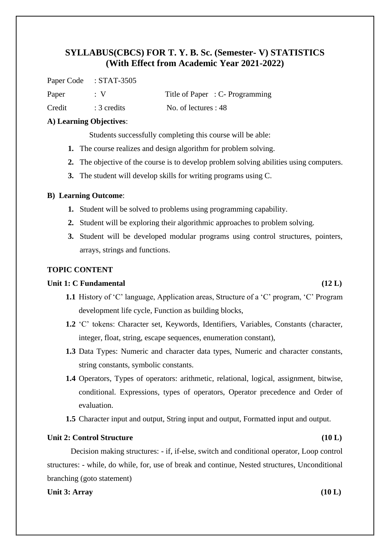Paper Code : STAT-3505

Paper : V Title of Paper : C- Programming

Credit : 3 credits No. of lectures : 48

### **A) Learning Objectives**:

Students successfully completing this course will be able:

- **1.** The course realizes and design algorithm for problem solving.
- **2.** The objective of the course is to develop problem solving abilities using computers.
- **3.** The student will develop skills for writing programs using C.

### **B) Learning Outcome**:

- **1.** Student will be solved to problems using programming capability.
- **2.** Student will be exploring their algorithmic approaches to problem solving.
- **3.** Student will be developed modular programs using control structures, pointers, arrays, strings and functions.

## **TOPIC CONTENT**

## **Unit 1: C Fundamental (12 L)**

- **1.1** History of 'C' language, Application areas, Structure of a 'C' program, 'C' Program development life cycle, Function as building blocks,
- **1.2** 'C' tokens: Character set, Keywords, Identifiers, Variables, Constants (character, integer, float, string, escape sequences, enumeration constant),
- **1.3** Data Types: Numeric and character data types, Numeric and character constants, string constants, symbolic constants.
- **1.4** Operators, Types of operators: arithmetic, relational, logical, assignment, bitwise, conditional. Expressions, types of operators, Operator precedence and Order of evaluation.
- **1.5** Character input and output, String input and output, Formatted input and output.

### Unit 2: Control Structure (10 L)

Decision making structures: - if, if-else, switch and conditional operator, Loop control structures: - while, do while, for, use of break and continue, Nested structures, Unconditional branching (goto statement)

#### **Unit 3: Array (10 L)**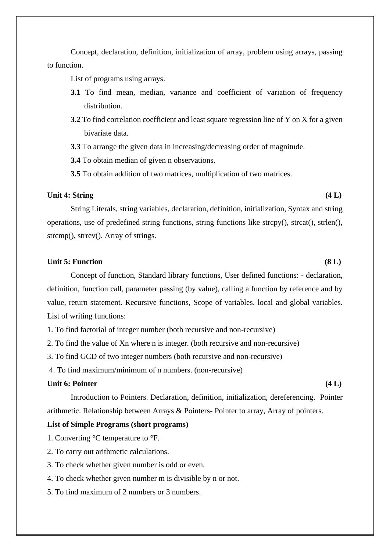Concept, declaration, definition, initialization of array, problem using arrays, passing to function.

List of programs using arrays.

- **3.1** To find mean, median, variance and coefficient of variation of frequency distribution.
- **3.2** To find correlation coefficient and least square regression line of Y on X for a given bivariate data.
- **3.3** To arrange the given data in increasing/decreasing order of magnitude.

**3.4** To obtain median of given n observations.

**3.5** To obtain addition of two matrices, multiplication of two matrices.

#### **Unit 4: String (4 L)**

String Literals, string variables, declaration, definition, initialization, Syntax and string operations, use of predefined string functions, string functions like strcpy(), strcat(), strlen(), strcmp(), strrev(). Array of strings.

## **Unit 5: Function (8 L)**

Concept of function, Standard library functions, User defined functions: - declaration, definition, function call, parameter passing (by value), calling a function by reference and by value, return statement. Recursive functions, Scope of variables. local and global variables. List of writing functions:

- 1. To find factorial of integer number (both recursive and non-recursive)
- 2. To find the value of Xn where n is integer. (both recursive and non-recursive)
- 3. To find GCD of two integer numbers (both recursive and non-recursive)
- 4. To find maximum/minimum of n numbers. (non-recursive)

## Unit 6: Pointer (4 L)

Introduction to Pointers. Declaration, definition, initialization, dereferencing. Pointer arithmetic. Relationship between Arrays & Pointers- Pointer to array, Array of pointers.

#### **List of Simple Programs (short programs)**

- 1. Converting °C temperature to °F.
- 2. To carry out arithmetic calculations.
- 3. To check whether given number is odd or even.
- 4. To check whether given number m is divisible by n or not.
- 5. To find maximum of 2 numbers or 3 numbers.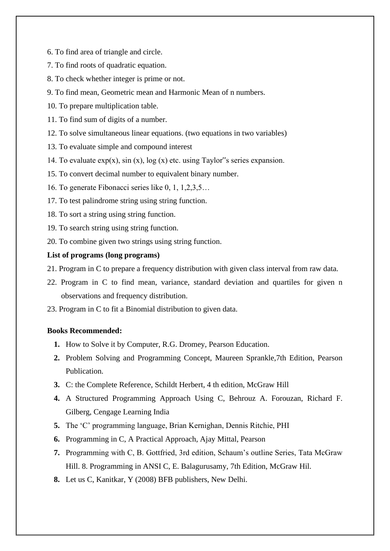- 6. To find area of triangle and circle.
- 7. To find roots of quadratic equation.
- 8. To check whether integer is prime or not.
- 9. To find mean, Geometric mean and Harmonic Mean of n numbers.
- 10. To prepare multiplication table.
- 11. To find sum of digits of a number.
- 12. To solve simultaneous linear equations. (two equations in two variables)
- 13. To evaluate simple and compound interest
- 14. To evaluate  $exp(x)$ ,  $sin(x)$ ,  $log(x)$  etc. using Taylor<sup>\*</sup>'s series expansion.
- 15. To convert decimal number to equivalent binary number.
- 16. To generate Fibonacci series like 0, 1, 1,2,3,5…
- 17. To test palindrome string using string function.
- 18. To sort a string using string function.
- 19. To search string using string function.
- 20. To combine given two strings using string function.

## **List of programs (long programs)**

- 21. Program in C to prepare a frequency distribution with given class interval from raw data.
- 22. Program in C to find mean, variance, standard deviation and quartiles for given n observations and frequency distribution.
- 23. Program in C to fit a Binomial distribution to given data.

## **Books Recommended:**

- **1.** How to Solve it by Computer, R.G. Dromey, Pearson Education.
- **2.** Problem Solving and Programming Concept, Maureen Sprankle,7th Edition, Pearson Publication.
- **3.** C: the Complete Reference, Schildt Herbert, 4 th edition, McGraw Hill
- **4.** A Structured Programming Approach Using C, Behrouz A. Forouzan, Richard F. Gilberg, Cengage Learning India
- **5.** The 'C' programming language, Brian Kernighan, Dennis Ritchie, PHI
- **6.** Programming in C, A Practical Approach, Ajay Mittal, Pearson
- **7.** Programming with C, B. Gottfried, 3rd edition, Schaum's outline Series, Tata McGraw Hill. 8. Programming in ANSI C, E. Balagurusamy, 7th Edition, McGraw Hil.
- **8.** Let us C, Kanitkar, Y (2008) BFB publishers, New Delhi.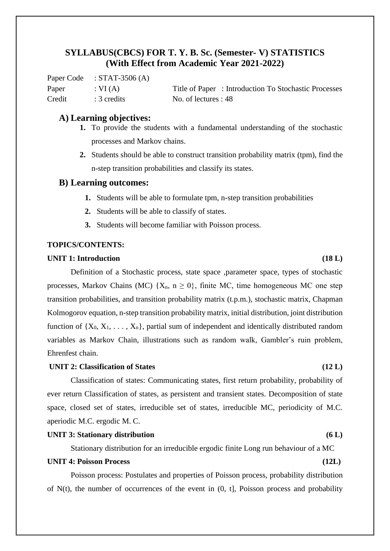Paper Code : STAT-3506 (A) Credit : 3 credits No. of lectures : 48

Paper : VI (A) Title of Paper : Introduction To Stochastic Processes

## **A) Learning objectives:**

- **1.** To provide the students with a fundamental understanding of the stochastic processes and Markov chains.
- **2.** Students should be able to construct transition probability matrix (tpm), find the n-step transition probabilities and classify its states.

## **B) Learning outcomes:**

- **1.** Students will be able to formulate tpm, n-step transition probabilities
- **2.** Students will be able to classify of states.
- **3.** Students will become familiar with Poisson process.

## **TOPICS/CONTENTS:**

#### **UNIT 1: Introduction (18 L)**

Definition of a Stochastic process, state space ,parameter space, types of stochastic processes, Markov Chains (MC)  $\{X_n, n \geq 0\}$ , finite MC, time homogeneous MC one step transition probabilities, and transition probability matrix (t.p.m.), stochastic matrix, Chapman Kolmogorov equation, n-step transition probability matrix, initial distribution, joint distribution function of  $\{X_0, X_1, \ldots, X_n\}$ , partial sum of independent and identically distributed random variables as Markov Chain, illustrations such as random walk, Gambler's ruin problem, Ehrenfest chain.

#### **UNIT 2: Classification of States (12 L)**

Classification of states: Communicating states, first return probability, probability of ever return Classification of states, as persistent and transient states. Decomposition of state space, closed set of states, irreducible set of states, irreducible MC, periodicity of M.C. aperiodic M.C. ergodic M. C.

### **UNIT 3: Stationary distribution (6 L)**

Stationary distribution for an irreducible ergodic finite Long run behaviour of a MC

## **UNIT 4: Poisson Process (12L)**

Poisson process: Postulates and properties of Poisson process, probability distribution of N(t), the number of occurrences of the event in (0, t], Poisson process and probability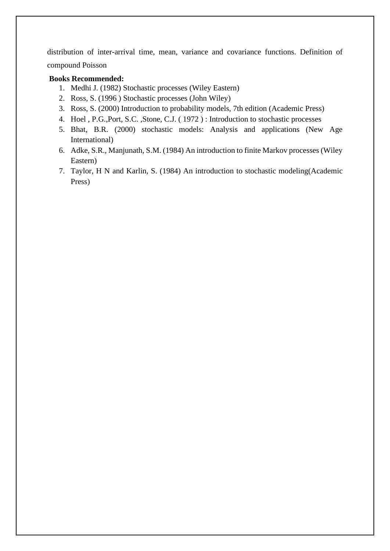distribution of inter-arrival time, mean, variance and covariance functions. Definition of compound Poisson

## **Books Recommended:**

- 1. Medhi J. (1982) Stochastic processes (Wiley Eastern)
- 2. Ross, S. (1996 ) Stochastic processes (John Wiley)
- 3. Ross, S. (2000) Introduction to probability models, 7th edition (Academic Press)
- 4. Hoel , P.G.,Port, S.C. ,Stone, C.J. ( 1972 ) : Introduction to stochastic processes
- 5. Bhat, B.R. (2000) stochastic models: Analysis and applications (New Age International)
- 6. Adke, S.R., Manjunath, S.M. (1984) An introduction to finite Markov processes (Wiley Eastern)
- 7. Taylor, H N and Karlin, S. (1984) An introduction to stochastic modeling(Academic Press)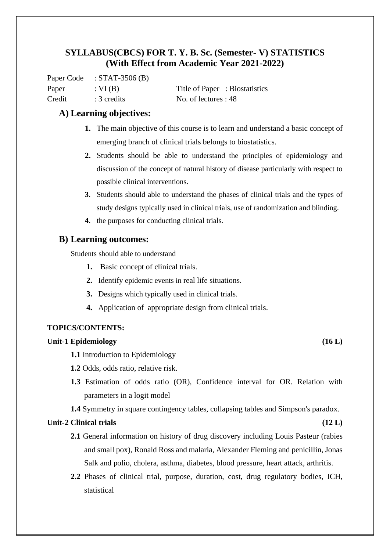Paper Code : STAT-3506 (B) Paper : VI (B) Title of Paper : Biostatistics Credit : 3 credits No. of lectures : 48

## **A) Learning objectives:**

- **1.** The main objective of this course is to learn and understand a basic concept of emerging branch of clinical trials belongs to biostatistics.
- **2.** Students should be able to understand the principles of epidemiology and discussion of the concept of natural history of disease particularly with respect to possible clinical interventions.
- **3.** Students should able to understand the phases of clinical trials and the types of study designs typically used in clinical trials, use of randomization and blinding.
- **4.** the purposes for conducting clinical trials.

## **B) Learning outcomes:**

Students should able to understand

- **1.** Basic concept of clinical trials.
- **2.** Identify epidemic events in real life situations.
- **3.** Designs which typically used in clinical trials.
- **4.** Application of appropriate design from clinical trials.

## **TOPICS/CONTENTS:**

## **Unit-1 Epidemiology (16 L)**

- **1.1** Introduction to Epidemiology
- **1.2** Odds, odds ratio, relative risk.
- **1.3** Estimation of odds ratio (OR), Confidence interval for OR. Relation with parameters in a logit model
- **1.4** Symmetry in square contingency tables, collapsing tables and Simpson's paradox.

## **Unit-2 Clinical trials (12 L)**

- **2.1** General information on history of drug discovery including Louis Pasteur (rabies and small pox), Ronald Ross and malaria, Alexander Fleming and penicillin, Jonas Salk and polio, cholera, asthma, diabetes, blood pressure, heart attack, arthritis.
- **2.2** Phases of clinical trial, purpose, duration, cost, drug regulatory bodies, ICH, statistical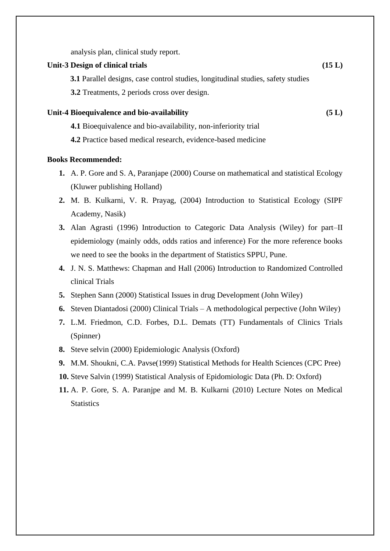analysis plan, clinical study report.

#### Unit-3 Design of clinical trials (15 L)

**3.1** Parallel designs, case control studies, longitudinal studies, safety studies

**3.2** Treatments, 2 periods cross over design.

## **Unit-4 Bioequivalence and bio-availability (5 L)**

- **4.1** Bioequivalence and bio-availability, non-inferiority trial
- **4.2** Practice based medical research, evidence-based medicine

### **Books Recommended:**

- **1.** A. P. Gore and S. A, Paranjape (2000) Course on mathematical and statistical Ecology (Kluwer publishing Holland)
- **2.** M. B. Kulkarni, V. R. Prayag, (2004) Introduction to Statistical Ecology (SIPF Academy, Nasik)
- **3.** Alan Agrasti (1996) Introduction to Categoric Data Analysis (Wiley) for part–II epidemiology (mainly odds, odds ratios and inference) For the more reference books we need to see the books in the department of Statistics SPPU, Pune.
- **4.** J. N. S. Matthews: Chapman and Hall (2006) Introduction to Randomized Controlled clinical Trials
- **5.** Stephen Sann (2000) Statistical Issues in drug Development (John Wiley)
- **6.** Steven Diantadosi (2000) Clinical Trials A methodological perpective (John Wiley)
- **7.** L.M. Friedmon, C.D. Forbes, D.L. Demats (TT) Fundamentals of Clinics Trials (Spinner)
- **8.** Steve selvin (2000) Epidemiologic Analysis (Oxford)
- **9.** M.M. Shoukni, C.A. Pavse(1999) Statistical Methods for Health Sciences (CPC Pree)
- **10.** Steve Salvin (1999) Statistical Analysis of Epidomiologic Data (Ph. D: Oxford)
- **11.** A. P. Gore, S. A. Paranjpe and M. B. Kulkarni (2010) Lecture Notes on Medical **Statistics**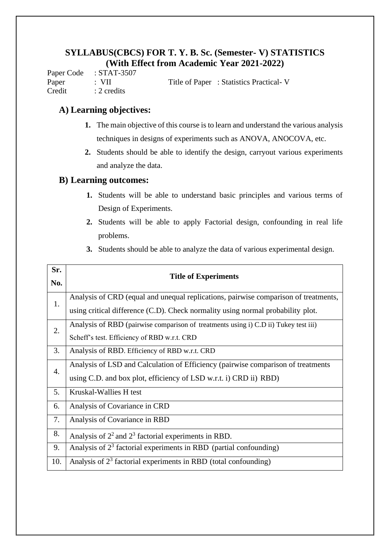Paper Code : STAT-3507 Paper : VII Title of Paper : Statistics Practical- V Credit : 2 credits

## **A) Learning objectives:**

- **1.** The main objective of this course is to learn and understand the various analysis techniques in designs of experiments such as ANOVA, ANOCOVA, etc.
- **2.** Students should be able to identify the design, carryout various experiments and analyze the data.

## **B) Learning outcomes:**

- **1.** Students will be able to understand basic principles and various terms of Design of Experiments.
- **2.** Students will be able to apply Factorial design, confounding in real life problems.
- **3.** Students should be able to analyze the data of various experimental design.

| Sr.<br>No.       | <b>Title of Experiments</b>                                                                                                                                            |
|------------------|------------------------------------------------------------------------------------------------------------------------------------------------------------------------|
| 1.               | Analysis of CRD (equal and unequal replications, pairwise comparison of treatments,<br>using critical difference (C.D). Check normality using normal probability plot. |
| 2.               | Analysis of RBD (pairwise comparison of treatments using i) C.D ii) Tukey test iii)<br>Scheff's test. Efficiency of RBD w.r.t. CRD                                     |
| 3.               | Analysis of RBD. Efficiency of RBD w.r.t. CRD                                                                                                                          |
| $\overline{4}$ . | Analysis of LSD and Calculation of Efficiency (pairwise comparison of treatments<br>using C.D. and box plot, efficiency of LSD w.r.t. i) CRD ii) RBD)                  |
| 5.               | Kruskal-Wallies H test                                                                                                                                                 |
| 6.               | Analysis of Covariance in CRD                                                                                                                                          |
| 7.               | Analysis of Covariance in RBD                                                                                                                                          |
| 8.               | Analysis of $22$ and $23$ factorial experiments in RBD.                                                                                                                |
| 9.               | Analysis of $23$ factorial experiments in RBD (partial confounding)                                                                                                    |
| 10.              | Analysis of $23$ factorial experiments in RBD (total confounding)                                                                                                      |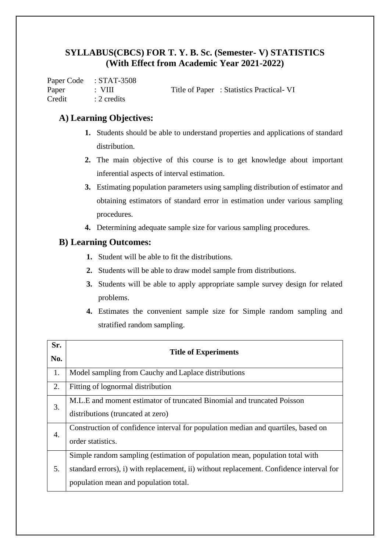Paper Code : STAT-3508 Paper : VIII Title of Paper : Statistics Practical- VI Credit : 2 credits

## **A) Learning Objectives:**

- **1.** Students should be able to understand properties and applications of standard distribution.
- **2.** The main objective of this course is to get knowledge about important inferential aspects of interval estimation.
- **3.** Estimating population parameters using sampling distribution of estimator and obtaining estimators of standard error in estimation under various sampling procedures.
- **4.** Determining adequate sample size for various sampling procedures.

## **B) Learning Outcomes:**

- **1.** Student will be able to fit the distributions.
- **2.** Students will be able to draw model sample from distributions.
- **3.** Students will be able to apply appropriate sample survey design for related problems.
- **4.** Estimates the convenient sample size for Simple random sampling and stratified random sampling.

| Sr. | <b>Title of Experiments</b>                                                                                                                                                                                      |
|-----|------------------------------------------------------------------------------------------------------------------------------------------------------------------------------------------------------------------|
| No. |                                                                                                                                                                                                                  |
| 1.  | Model sampling from Cauchy and Laplace distributions                                                                                                                                                             |
| 2.  | Fitting of lognormal distribution                                                                                                                                                                                |
| 3.  | M.L.E and moment estimator of truncated Binomial and truncated Poisson<br>distributions (truncated at zero)                                                                                                      |
| 4.  | Construction of confidence interval for population median and quartiles, based on<br>order statistics.                                                                                                           |
| 5.  | Simple random sampling (estimation of population mean, population total with<br>standard errors), i) with replacement, ii) without replacement. Confidence interval for<br>population mean and population total. |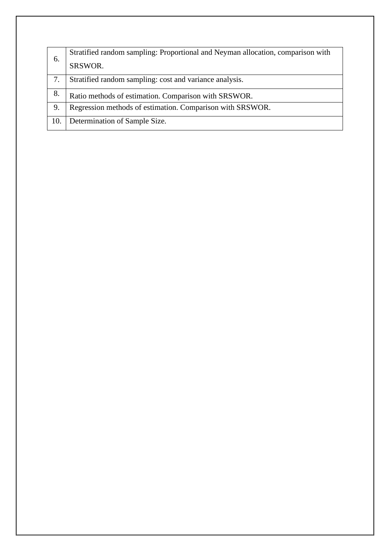| 6.  | Stratified random sampling: Proportional and Neyman allocation, comparison with |
|-----|---------------------------------------------------------------------------------|
|     | SRSWOR.                                                                         |
| 7.  | Stratified random sampling: cost and variance analysis.                         |
| 8.  | Ratio methods of estimation. Comparison with SRSWOR.                            |
| 9.  | Regression methods of estimation. Comparison with SRSWOR.                       |
| 10. | Determination of Sample Size.                                                   |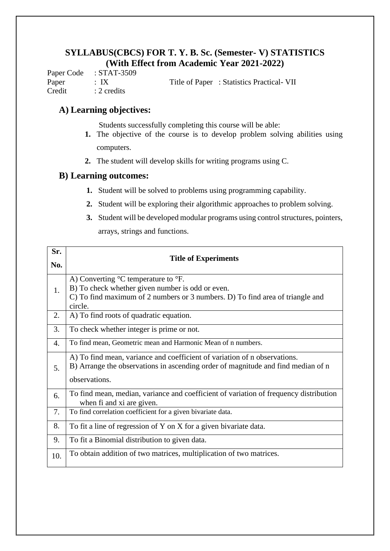Paper Code : STAT-3509 Paper : IX Title of Paper : Statistics Practical- VII Credit : 2 credits

## **A) Learning objectives:**

Students successfully completing this course will be able:

- **1.** The objective of the course is to develop problem solving abilities using computers.
- **2.** The student will develop skills for writing programs using C.

## **B) Learning outcomes:**

- **1.** Student will be solved to problems using programming capability.
- **2.** Student will be exploring their algorithmic approaches to problem solving.
- **3.** Student will be developed modular programs using control structures, pointers, arrays, strings and functions.

| Sr. |                                                                                                                                                                                                                          |
|-----|--------------------------------------------------------------------------------------------------------------------------------------------------------------------------------------------------------------------------|
| No. | <b>Title of Experiments</b>                                                                                                                                                                                              |
| 1.  | A) Converting $\mathrm{^{\circ}C}$ temperature to $\mathrm{^{\circ}F}$ .<br>B) To check whether given number is odd or even.<br>C) To find maximum of 2 numbers or 3 numbers. D) To find area of triangle and<br>circle. |
| 2.  | A) To find roots of quadratic equation.                                                                                                                                                                                  |
| 3.  | To check whether integer is prime or not.                                                                                                                                                                                |
| 4.  | To find mean, Geometric mean and Harmonic Mean of n numbers.                                                                                                                                                             |
| 5.  | A) To find mean, variance and coefficient of variation of n observations.<br>B) Arrange the observations in ascending order of magnitude and find median of n<br>observations.                                           |
| 6.  | To find mean, median, variance and coefficient of variation of frequency distribution<br>when fi and xi are given.                                                                                                       |
| 7.  | To find correlation coefficient for a given bivariate data.                                                                                                                                                              |
| 8.  | To fit a line of regression of Y on X for a given bivariate data.                                                                                                                                                        |
| 9.  | To fit a Binomial distribution to given data.                                                                                                                                                                            |
| 10. | To obtain addition of two matrices, multiplication of two matrices.                                                                                                                                                      |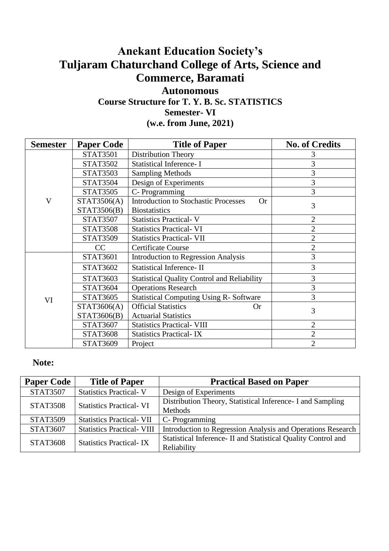# **Anekant Education Society's Tuljaram Chaturchand College of Arts, Science and Commerce, Baramati**

## **Autonomous Course Structure for T. Y. B. Sc. STATISTICS Semester- VI (w.e. from June, 2021)**

| <b>Semester</b> | <b>Paper Code</b>               | <b>Title of Paper</b>                                    | <b>No. of Credits</b> |
|-----------------|---------------------------------|----------------------------------------------------------|-----------------------|
|                 | <b>STAT3501</b>                 | <b>Distribution Theory</b>                               | 3                     |
|                 | <b>STAT3502</b>                 | <b>Statistical Inference- I</b>                          | 3                     |
|                 | <b>STAT3503</b>                 | <b>Sampling Methods</b>                                  | 3                     |
|                 | <b>STAT3504</b>                 | Design of Experiments                                    | 3                     |
|                 | <b>STAT3505</b>                 | C-Programming                                            | 3                     |
| V               | STAT3506(A)                     | <b>Introduction to Stochastic Processes</b><br><b>Or</b> | 3                     |
|                 | STAT3506(B)                     | <b>Biostatistics</b>                                     |                       |
|                 | <b>STAT3507</b>                 | <b>Statistics Practical-V</b>                            | $\overline{2}$        |
|                 | <b>STAT3508</b>                 | <b>Statistics Practical-VI</b>                           | $\overline{2}$        |
|                 | <b>STAT3509</b>                 | <b>Statistics Practical- VII</b>                         | $\overline{2}$        |
|                 | CC<br><b>Certificate Course</b> |                                                          | $\overline{2}$        |
|                 | <b>STAT3601</b>                 | <b>Introduction to Regression Analysis</b>               | 3                     |
|                 | <b>STAT3602</b>                 | <b>Statistical Inference-II</b>                          | 3                     |
|                 | <b>STAT3603</b>                 | <b>Statistical Quality Control and Reliability</b>       | 3                     |
|                 | <b>STAT3604</b>                 | <b>Operations Research</b>                               | 3                     |
| VI              | <b>STAT3605</b>                 | <b>Statistical Computing Using R-Software</b>            | 3                     |
|                 | STAT3606(A)                     | <b>Official Statistics</b><br><b>Or</b>                  | 3                     |
|                 | STAT3606(B)                     | <b>Actuarial Statistics</b>                              |                       |
|                 | STAT3607                        | <b>Statistics Practical- VIII</b>                        | $\overline{2}$        |
|                 | <b>STAT3608</b>                 | <b>Statistics Practical-IX</b>                           | 2                     |
|                 | STAT3609                        | Project                                                  | $\overline{2}$        |

## **Note:**

| <b>Paper Code</b> | <b>Title of Paper</b>             | <b>Practical Based on Paper</b>                                |
|-------------------|-----------------------------------|----------------------------------------------------------------|
| <b>STAT3507</b>   | <b>Statistics Practical-V</b>     | Design of Experiments                                          |
| <b>STAT3508</b>   | <b>Statistics Practical-VI</b>    | Distribution Theory, Statistical Inference - I and Sampling    |
|                   |                                   | Methods                                                        |
| <b>STAT3509</b>   | <b>Statistics Practical- VII</b>  | $C$ - Programming                                              |
| <b>STAT3607</b>   | <b>Statistics Practical- VIII</b> | Introduction to Regression Analysis and Operations Research    |
| <b>STAT3608</b>   |                                   | Statistical Inference - II and Statistical Quality Control and |
|                   | <b>Statistics Practical-IX</b>    | Reliability                                                    |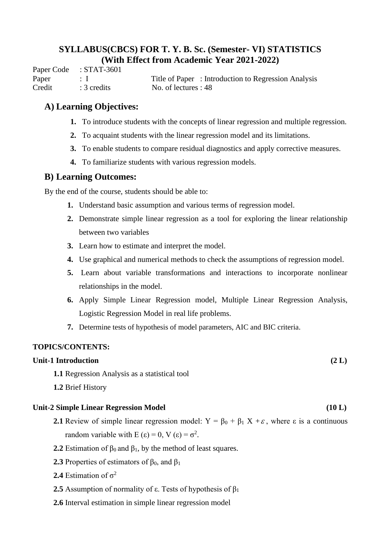Paper Code : STAT-3601 Paper : I Title of Paper : Introduction to Regression Analysis Credit : 3 credits No. of lectures : 48

## **A) Learning Objectives:**

- **1.** To introduce students with the concepts of linear regression and multiple regression.
- **2.** To acquaint students with the linear regression model and its limitations.
- **3.** To enable students to compare residual diagnostics and apply corrective measures.
- **4.** To familiarize students with various regression models.

## **B) Learning Outcomes:**

By the end of the course, students should be able to:

- **1.** Understand basic assumption and various terms of regression model.
- **2.** Demonstrate simple linear regression as a tool for exploring the linear relationship between two variables
- **3.** Learn how to estimate and interpret the model.
- **4.** Use graphical and numerical methods to check the assumptions of regression model.
- **5.** Learn about variable transformations and interactions to incorporate nonlinear relationships in the model.
- **6.** Apply Simple Linear Regression model, Multiple Linear Regression Analysis, Logistic Regression Model in real life problems.
- **7.** Determine tests of hypothesis of model parameters, AIC and BIC criteria.

## **TOPICS/CONTENTS:**

## **Unit-1 Introduction (2 L)**

- **1.1** Regression Analysis as a statistical tool
- **1.2** Brief History

## **Unit-2 Simple Linear Regression Model (10 L)**

- **2.1** Review of simple linear regression model:  $Y = \beta_0 + \beta_1 X + \varepsilon$ , where  $\varepsilon$  is a continuous random variable with  $E(\epsilon) = 0$ ,  $V(\epsilon) = \sigma^2$ .
- **2.2** Estimation of  $\beta_0$  and  $\beta_1$ , by the method of least squares.
- **2.3** Properties of estimators of  $\beta_0$ , and  $\beta_1$
- **2.4** Estimation of  $\sigma^2$
- **2.5** Assumption of normality of  $\varepsilon$ . Tests of hypothesis of  $\beta_1$
- **2.6** Interval estimation in simple linear regression model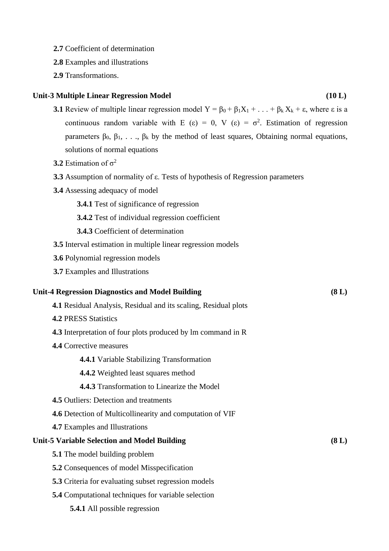- **2.7** Coefficient of determination
- **2.8** Examples and illustrations
- **2.9** Transformations.

### **Unit-3 Multiple Linear Regression Model (10 L)**

- **3.1** Review of multiple linear regression model  $Y = \beta_0 + \beta_1 X_1 + ... + \beta_k X_k + \varepsilon$ , where  $\varepsilon$  is a continuous random variable with E (ε) = 0, V (ε) =  $\sigma^2$ . Estimation of regression parameters  $β_0$ ,  $β_1$ , ...,  $β_k$  by the method of least squares, Obtaining normal equations, solutions of normal equations
- **3.2** Estimation of  $\sigma^2$
- **3.3** Assumption of normality of ε. Tests of hypothesis of Regression parameters
- **3.4** Assessing adequacy of model
	- **3.4.1** Test of significance of regression
	- **3.4.2** Test of individual regression coefficient
	- **3.4.3** Coefficient of determination
- **3.5** Interval estimation in multiple linear regression models
- **3.6** Polynomial regression models
- **3.7** Examples and Illustrations

## **Unit-4 Regression Diagnostics and Model Building (8 L)**

- **4.1** Residual Analysis, Residual and its scaling, Residual plots
- **4.2** PRESS Statistics
- **4.3** Interpretation of four plots produced by lm command in R
- **4.4** Corrective measures

**4.4.1** Variable Stabilizing Transformation

- **4.4.2** Weighted least squares method
- **4.4.3** Transformation to Linearize the Model
- **4.5** Outliers: Detection and treatments
- **4.6** Detection of Multicollinearity and computation of VIF
- **4.7** Examples and Illustrations

### **Unit-5 Variable Selection and Model Building (8 L)**

- **5.1** The model building problem
- **5.2** Consequences of model Misspecification
- **5.3** Criteria for evaluating subset regression models
- **5.4** Computational techniques for variable selection
	- **5.4.1** All possible regression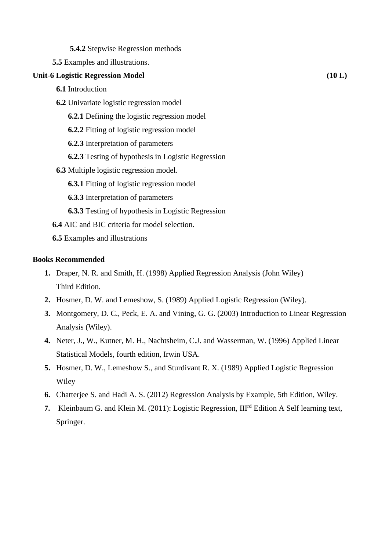| <b>5.4.2</b> Stepwise Regression methods |
|------------------------------------------|
|------------------------------------------|

 **5.5** Examples and illustrations.

## Unit-6 Logistic Regression Model (10 L)

- **6.1** Introduction
- **6.2** Univariate logistic regression model
	- **6.2.1** Defining the logistic regression model
	- **6.2.2** Fitting of logistic regression model
	- **6.2.3** Interpretation of parameters
	- **6.2.3** Testing of hypothesis in Logistic Regression
- **6.3** Multiple logistic regression model.
	- **6.3.1** Fitting of logistic regression model
	- **6.3.3** Interpretation of parameters
	- **6.3.3** Testing of hypothesis in Logistic Regression
- **6.4** AIC and BIC criteria for model selection.
- **6.5** Examples and illustrations

## **Books Recommended**

- **1.** Draper, N. R. and Smith, H. (1998) Applied Regression Analysis (John Wiley) Third Edition.
- **2.** Hosmer, D. W. and Lemeshow, S. (1989) Applied Logistic Regression (Wiley).
- **3.** Montgomery, D. C., Peck, E. A. and Vining, G. G. (2003) Introduction to Linear Regression Analysis (Wiley).
- **4.** Neter, J., W., Kutner, M. H., Nachtsheim, C.J. and Wasserman, W. (1996) Applied Linear Statistical Models, fourth edition, Irwin USA.
- **5.** Hosmer, D. W., Lemeshow S., and Sturdivant R. X. (1989) Applied Logistic Regression Wiley
- **6.** Chatterjee S. and Hadi A. S. (2012) Regression Analysis by Example, 5th Edition, Wiley.
- **7.** Kleinbaum G. and Klein M. (2011): Logistic Regression, III<sup>rd</sup> Edition A Self learning text, Springer.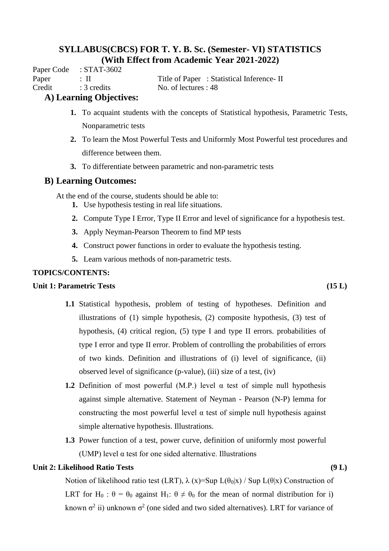Paper Code : STAT-3602

Paper : II Title of Paper : Statistical Inference- II Credit : 3 credits No. of lectures : 48

## **A) Learning Objectives:**

- **1.** To acquaint students with the concepts of Statistical hypothesis, Parametric Tests, Nonparametric tests
- **2.** To learn the Most Powerful Tests and Uniformly Most Powerful test procedures and difference between them.
- **3.** To differentiate between parametric and non-parametric tests

## **B) Learning Outcomes:**

At the end of the course, students should be able to:

- **1.** Use hypothesis testing in real life situations.
- **2.** Compute Type I Error, Type II Error and level of significance for a hypothesis test.
- **3.** Apply Neyman-Pearson Theorem to find MP tests
- **4.** Construct power functions in order to evaluate the hypothesis testing.
- **5.** Learn various methods of non-parametric tests.

## **TOPICS/CONTENTS:**

## **Unit 1: Parametric Tests (15 L)**

- **1.1** Statistical hypothesis, problem of testing of hypotheses. Definition and illustrations of (1) simple hypothesis, (2) composite hypothesis, (3) test of hypothesis, (4) critical region, (5) type I and type II errors. probabilities of type I error and type II error. Problem of controlling the probabilities of errors of two kinds. Definition and illustrations of (i) level of significance, (ii) observed level of significance (p-value), (iii) size of a test, (iv)
- **1.2** Definition of most powerful (M.P.) level  $\alpha$  test of simple null hypothesis against simple alternative. Statement of Neyman - Pearson (N-P) lemma for constructing the most powerful level  $\alpha$  test of simple null hypothesis against simple alternative hypothesis. Illustrations.
- **1.3** Power function of a test, power curve, definition of uniformly most powerful (UMP) level  $\alpha$  test for one sided alternative. Illustrations

## **Unit 2: Likelihood Ratio Tests (9 L)**

Notion of likelihood ratio test (LRT),  $\lambda(x)$ =Sup L( $\theta_0|x$ ) / Sup L( $\theta|x$ ) Construction of LRT for H<sub>0</sub> :  $\theta = \theta_0$  against H<sub>1</sub>:  $\theta \neq \theta_0$  for the mean of normal distribution for i) known  $\sigma^2$  ii) unknown  $\sigma^2$  (one sided and two sided alternatives). LRT for variance of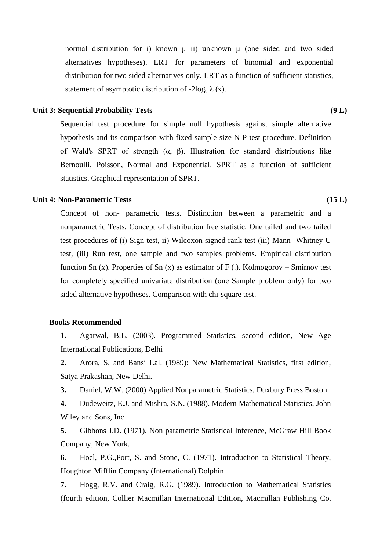normal distribution for i) known μ ii) unknown μ (one sided and two sided alternatives hypotheses). LRT for parameters of binomial and exponential distribution for two sided alternatives only. LRT as a function of sufficient statistics, statement of asymptotic distribution of -2log<sub>e</sub>  $\lambda$  (x).

### **Unit 3: Sequential Probability Tests (9 L)**

Sequential test procedure for simple null hypothesis against simple alternative hypothesis and its comparison with fixed sample size N-P test procedure. Definition of Wald's SPRT of strength  $(\alpha, \beta)$ . Illustration for standard distributions like Bernoulli, Poisson, Normal and Exponential. SPRT as a function of sufficient statistics. Graphical representation of SPRT.

## Unit 4: Non-Parametric Tests (15 L)

Concept of non- parametric tests. Distinction between a parametric and a nonparametric Tests. Concept of distribution free statistic. One tailed and two tailed test procedures of (i) Sign test, ii) Wilcoxon signed rank test (iii) Mann- Whitney U test, (iii) Run test, one sample and two samples problems. Empirical distribution function Sn (x). Properties of Sn (x) as estimator of F (.). Kolmogorov – Smirnov test for completely specified univariate distribution (one Sample problem only) for two sided alternative hypotheses. Comparison with chi-square test.

### **Books Recommended**

**1.** Agarwal, B.L. (2003). Programmed Statistics, second edition, New Age International Publications, Delhi

**2.** Arora, S. and Bansi Lal. (1989): New Mathematical Statistics, first edition, Satya Prakashan, New Delhi.

**3.** Daniel, W.W. (2000) Applied Nonparametric Statistics, Duxbury Press Boston.

**4.** Dudeweitz, E.J. and Mishra, S.N. (1988). Modern Mathematical Statistics, John Wiley and Sons, Inc

**5.** Gibbons J.D. (1971). Non parametric Statistical Inference, McGraw Hill Book Company, New York.

**6.** Hoel, P.G.,Port, S. and Stone, C. (1971). Introduction to Statistical Theory, Houghton Mifflin Company (International) Dolphin

**7.** Hogg, R.V. and Craig, R.G. (1989). Introduction to Mathematical Statistics (fourth edition, Collier Macmillan International Edition, Macmillan Publishing Co.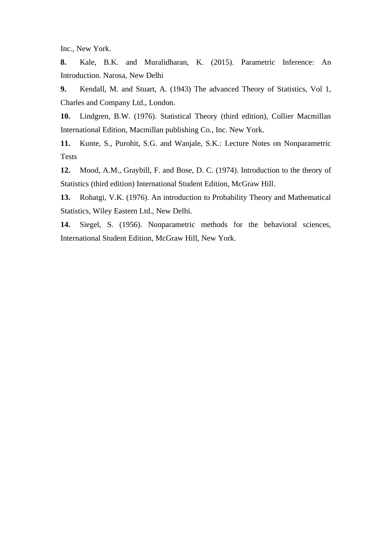Inc., New York.

**8.** Kale, B.K. and Muralidharan, K. (2015). Parametric Inference: An Introduction. Narosa, New Delhi

**9.** Kendall, M. and Stuart, A. (1943) The advanced Theory of Statistics, Vol 1, Charles and Company Ltd., London.

**10.** Lindgren, B.W. (1976). Statistical Theory (third edition), Collier Macmillan International Edition, Macmillan publishing Co., Inc. New York.

**11.** Kunte, S., Purohit, S.G. and Wanjale, S.K.: Lecture Notes on Nonparametric Tests

**12.** Mood, A.M., Graybill, F. and Bose, D. C. (1974). Introduction to the theory of Statistics (third edition) International Student Edition, McGraw Hill.

**13.** Rohatgi, V.K. (1976). An introduction to Probability Theory and Mathematical Statistics, Wiley Eastern Ltd., New Delhi.

**14.** Siegel, S. (1956). Nonparametric methods for the behavioral sciences, International Student Edition, McGraw Hill, New York.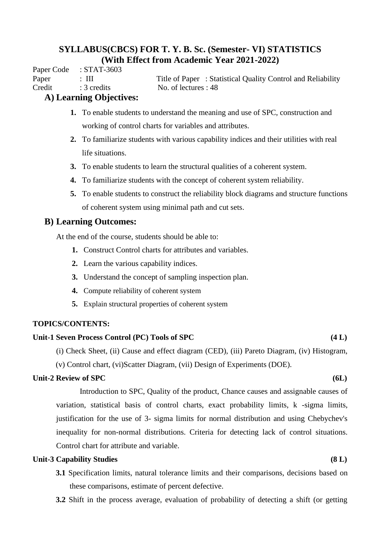Paper Code : STAT-3603

Paper : III Title of Paper : Statistical Quality Control and Reliability Credit : 3 credits No. of lectures : 48

## **A) Learning Objectives:**

- **1.** To enable students to understand the meaning and use of SPC, construction and working of control charts for variables and attributes.
- **2.** To familiarize students with various capability indices and their utilities with real life situations.
- **3.** To enable students to learn the structural qualities of a coherent system.
- **4.** To familiarize students with the concept of coherent system reliability.
- **5.** To enable students to construct the reliability block diagrams and structure functions of coherent system using minimal path and cut sets.

## **B) Learning Outcomes:**

At the end of the course, students should be able to:

- **1.** Construct Control charts for attributes and variables.
- **2.** Learn the various capability indices.
- **3.** Understand the concept of sampling inspection plan.
- **4.** Compute reliability of coherent system
- **5.** Explain structural properties of coherent system

## **TOPICS/CONTENTS:**

## **Unit-1 Seven Process Control (PC) Tools of SPC (4 L)**

(i) Check Sheet, (ii) Cause and effect diagram (CED), (iii) Pareto Diagram, (iv) Histogram,

(v) Control chart, (vi)Scatter Diagram, (vii) Design of Experiments (DOE).

## Unit-2 Review of SPC (6L)

Introduction to SPC, Quality of the product, Chance causes and assignable causes of variation, statistical basis of control charts, exact probability limits, k -sigma limits, justification for the use of 3- sigma limits for normal distribution and using Chebychev's inequality for non-normal distributions. Criteria for detecting lack of control situations. Control chart for attribute and variable.

## **Unit-3 Capability Studies (8 L)**

- **3.1** Specification limits, natural tolerance limits and their comparisons, decisions based on these comparisons, estimate of percent defective.
- **3.2** Shift in the process average, evaluation of probability of detecting a shift (or getting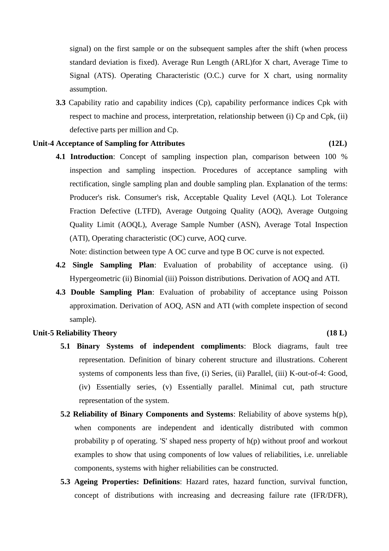signal) on the first sample or on the subsequent samples after the shift (when process standard deviation is fixed). Average Run Length (ARL)for X chart, Average Time to Signal (ATS). Operating Characteristic (O.C.) curve for X chart, using normality assumption.

**3.3** Capability ratio and capability indices (Cp), capability performance indices Cpk with respect to machine and process, interpretation, relationship between (i) Cp and Cpk, (ii) defective parts per million and Cp.

### Unit-4 Acceptance of Sampling for Attributes (12L)

**4.1 Introduction**: Concept of sampling inspection plan, comparison between 100 % inspection and sampling inspection. Procedures of acceptance sampling with rectification, single sampling plan and double sampling plan. Explanation of the terms: Producer's risk. Consumer's risk, Acceptable Quality Level (AQL). Lot Tolerance Fraction Defective (LTFD), Average Outgoing Quality (AOQ), Average Outgoing Quality Limit (AOQL), Average Sample Number (ASN), Average Total Inspection (ATI), Operating characteristic (OC) curve, AOQ curve.

Note: distinction between type A OC curve and type B OC curve is not expected.

- **4.2 Single Sampling Plan**: Evaluation of probability of acceptance using. (i) Hypergeometric (ii) Binomial (iii) Poisson distributions. Derivation of AOQ and ATI.
- **4.3 Double Sampling Plan**: Evaluation of probability of acceptance using Poisson approximation. Derivation of AOQ, ASN and ATI (with complete inspection of second sample).

#### Unit-5 Reliability Theory (18 L)

- **5.1 Binary Systems of independent compliments**: Block diagrams, fault tree representation. Definition of binary coherent structure and illustrations. Coherent systems of components less than five, (i) Series, (ii) Parallel, (iii) K-out-of-4: Good, (iv) Essentially series, (v) Essentially parallel. Minimal cut, path structure representation of the system.
- **5.2 Reliability of Binary Components and Systems**: Reliability of above systems h(p), when components are independent and identically distributed with common probability p of operating. 'S' shaped ness property of h(p) without proof and workout examples to show that using components of low values of reliabilities, i.e. unreliable components, systems with higher reliabilities can be constructed.
- **5.3 Ageing Properties: Definitions**: Hazard rates, hazard function, survival function, concept of distributions with increasing and decreasing failure rate (IFR/DFR),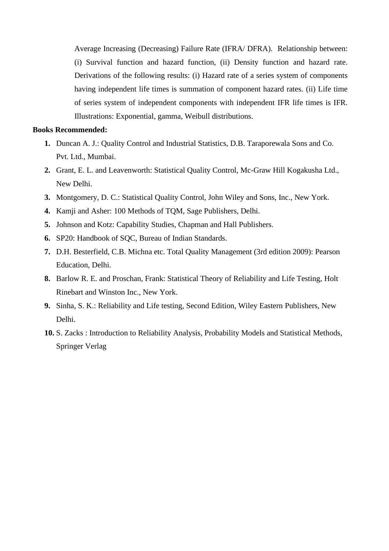Average Increasing (Decreasing) Failure Rate (IFRA/ DFRA). Relationship between: (i) Survival function and hazard function, (ii) Density function and hazard rate. Derivations of the following results: (i) Hazard rate of a series system of components having independent life times is summation of component hazard rates. (ii) Life time of series system of independent components with independent IFR life times is IFR. Illustrations: Exponential, gamma, Weibull distributions.

## **Books Recommended:**

- **1.** Duncan A. J.: Quality Control and Industrial Statistics, D.B. Taraporewala Sons and Co. Pvt. Ltd., Mumbai.
- **2.** Grant, E. L. and Leavenworth: Statistical Quality Control, Mc-Graw Hill Kogakusha Ltd., New Delhi.
- **3.** Montgomery, D. C.: Statistical Quality Control, John Wiley and Sons, Inc., New York.
- **4.** Kamji and Asher: 100 Methods of TQM, Sage Publishers, Delhi.
- **5.** Johnson and Kotz: Capability Studies, Chapman and Hall Publishers.
- **6.** SP20: Handbook of SQC, Bureau of Indian Standards.
- **7.** D.H. Besterfield, C.B. Michna etc. Total Quality Management (3rd edition 2009): Pearson Education, Delhi.
- **8.** Barlow R. E. and Proschan, Frank: Statistical Theory of Reliability and Life Testing, Holt Rinebart and Winston Inc., New York.
- **9.** Sinha, S. K.: Reliability and Life testing, Second Edition, Wiley Eastern Publishers, New Delhi.
- **10.** S. Zacks : Introduction to Reliability Analysis, Probability Models and Statistical Methods, Springer Verlag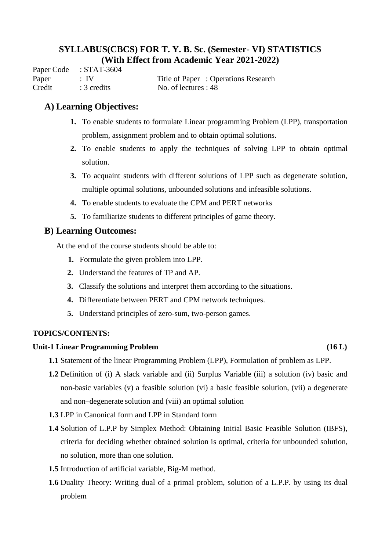Paper Code : STAT-3604 Paper : IV Title of Paper : Operations Research Credit : 3 credits No. of lectures : 48

## **A) Learning Objectives:**

- **1.** To enable students to formulate Linear programming Problem (LPP), transportation problem, assignment problem and to obtain optimal solutions.
- **2.** To enable students to apply the techniques of solving LPP to obtain optimal solution.
- **3.** To acquaint students with different solutions of LPP such as degenerate solution, multiple optimal solutions, unbounded solutions and infeasible solutions.
- **4.** To enable students to evaluate the CPM and PERT networks
- **5.** To familiarize students to different principles of game theory.

## **B) Learning Outcomes:**

At the end of the course students should be able to:

- **1.** Formulate the given problem into LPP.
- **2.** Understand the features of TP and AP.
- **3.** Classify the solutions and interpret them according to the situations.
- **4.** Differentiate between PERT and CPM network techniques.
- **5.** Understand principles of zero-sum, two-person games.

## **TOPICS/CONTENTS:**

## **Unit-1 Linear Programming Problem (16 L)**

- **1.1** Statement of the linear Programming Problem (LPP), Formulation of problem as LPP.
- **1.2** Definition of (i) A slack variable and (ii) Surplus Variable (iii) a solution (iv) basic and non-basic variables (v) a feasible solution (vi) a basic feasible solution, (vii) a degenerate and non–degenerate solution and (viii) an optimal solution
- **1.3** LPP in Canonical form and LPP in Standard form
- **1.4** Solution of L.P.P by Simplex Method: Obtaining Initial Basic Feasible Solution (IBFS), criteria for deciding whether obtained solution is optimal, criteria for unbounded solution, no solution, more than one solution.
- **1.5** Introduction of artificial variable, Big-M method.
- **1.6** Duality Theory: Writing dual of a primal problem, solution of a L.P.P. by using its dual problem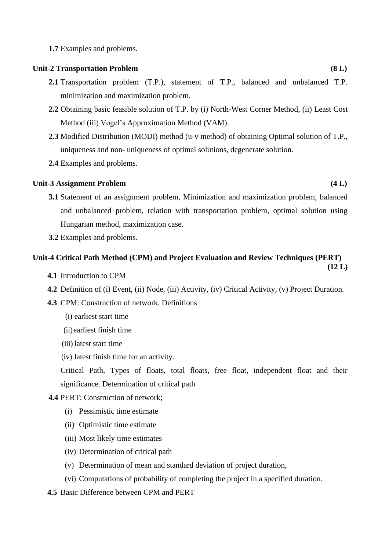**1.7** Examples and problems.

### **Unit-2 Transportation Problem (8 L)**

- **2.1** Transportation problem (T.P.), statement of T.P., balanced and unbalanced T.P. minimization and maximization problem.
- **2.2** Obtaining basic feasible solution of T.P. by (i) North-West Corner Method, (ii) Least Cost Method (iii) Vogel's Approximation Method (VAM).
- **2.3** Modified Distribution (MODI) method (u-v method) of obtaining Optimal solution of T.P., uniqueness and non- uniqueness of optimal solutions, degenerate solution.
- **2.4** Examples and problems.

## **Unit-3 Assignment Problem (4 L)**

- **3.1** Statement of an assignment problem, Minimization and maximization problem, balanced and unbalanced problem, relation with transportation problem, optimal solution using Hungarian method, maximization case.
- **3.2** Examples and problems.

#### **Unit-4 Critical Path Method (CPM) and Project Evaluation and Review Techniques (PERT) (12 L)**

- **4.1** Introduction to CPM
- **4.2** Definition of (i) Event, (ii) Node, (iii) Activity, (iv) Critical Activity, (v) Project Duration.
- **4.3** CPM: Construction of network, Definitions
	- (i) earliest start time
	- (ii)earliest finish time
	- (iii) latest start time
	- (iv) latest finish time for an activity.

Critical Path, Types of floats, total floats, free float, independent float and their significance. Determination of critical path

- **4.4** PERT: Construction of network;
	- (i) Pessimistic time estimate
	- (ii) Optimistic time estimate
	- (iii) Most likely time estimates
	- (iv) Determination of critical path
	- (v) Determination of mean and standard deviation of project duration,
	- (vi) Computations of probability of completing the project in a specified duration.
- **4.5** Basic Difference between CPM and PERT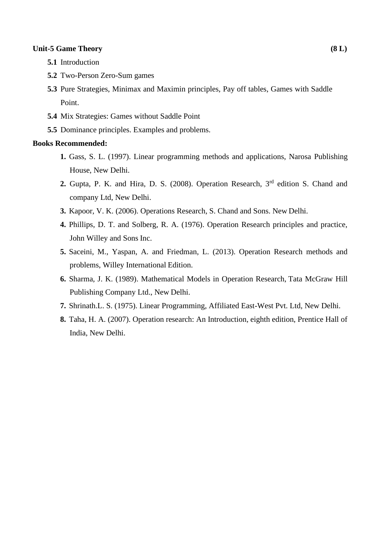## **Unit-5 Game Theory (8 L)**

- **5.1** Introduction
- **5.2** Two-Person Zero-Sum games
- **5.3** Pure Strategies, Minimax and Maximin principles, Pay off tables, Games with Saddle Point.
- **5.4** Mix Strategies: Games without Saddle Point
- **5.5** Dominance principles. Examples and problems.

## **Books Recommended:**

- **1.** Gass, S. L. (1997). Linear programming methods and applications, Narosa Publishing House, New Delhi.
- **2.** Gupta, P. K. and Hira, D. S. (2008). Operation Research, 3rd edition S. Chand and company Ltd, New Delhi.
- **3.** Kapoor, V. K. (2006). Operations Research, S. Chand and Sons. New Delhi.
- **4.** Phillips, D. T. and Solberg, R. A. (1976). Operation Research principles and practice, John Willey and Sons Inc.
- **5.** Saceini, M., Yaspan, A. and Friedman, L. (2013). Operation Research methods and problems, Willey International Edition.
- **6.** Sharma, J. K. (1989). Mathematical Models in Operation Research, Tata McGraw Hill Publishing Company Ltd., New Delhi.
- **7.** Shrinath.L. S. (1975). Linear Programming, Affiliated East-West Pvt. Ltd, New Delhi.
- **8.** Taha, H. A. (2007). Operation research: An Introduction, eighth edition, Prentice Hall of India, New Delhi.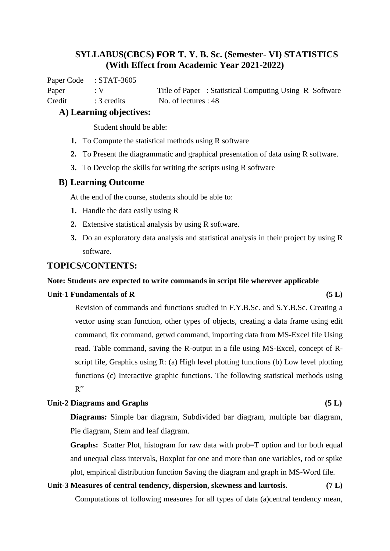Paper Code : STAT-3605

Paper : V Title of Paper : Statistical Computing Using R Software Credit : 3 credits No. of lectures : 48

## **A) Learning objectives:**

Student should be able:

- **1.** To Compute the statistical methods using R software
- **2.** To Present the diagrammatic and graphical presentation of data using R software.
- **3.** To Develop the skills for writing the scripts using R software

## **B) Learning Outcome**

At the end of the course, students should be able to:

- **1.** Handle the data easily using R
- **2.** Extensive statistical analysis by using R software.
- **3.** Do an exploratory data analysis and statistical analysis in their project by using R software.

## **TOPICS/CONTENTS:**

### **Note: Students are expected to write commands in script file wherever applicable**

### Unit-1 Fundamentals of R (5 L) **(5 L)**

Revision of commands and functions studied in F.Y.B.Sc. and S.Y.B.Sc. Creating a vector using scan function, other types of objects, creating a data frame using edit command, fix command, getwd command, importing data from MS-Excel file Using read. Table command, saving the R-output in a file using MS-Excel, concept of Rscript file, Graphics using R: (a) High level plotting functions (b) Low level plotting functions (c) Interactive graphic functions. The following statistical methods using  $R^{\prime\prime}$ 

## **Unit-2 Diagrams and Graphs (5 L)**

**Diagrams:** Simple bar diagram, Subdivided bar diagram, multiple bar diagram, Pie diagram, Stem and leaf diagram.

**Graphs:** Scatter Plot, histogram for raw data with prob=T option and for both equal and unequal class intervals, Boxplot for one and more than one variables, rod or spike plot, empirical distribution function Saving the diagram and graph in MS-Word file.

# **Unit-3 Measures of central tendency, dispersion, skewness and kurtosis. (7 L)**

Computations of following measures for all types of data (a)central tendency mean,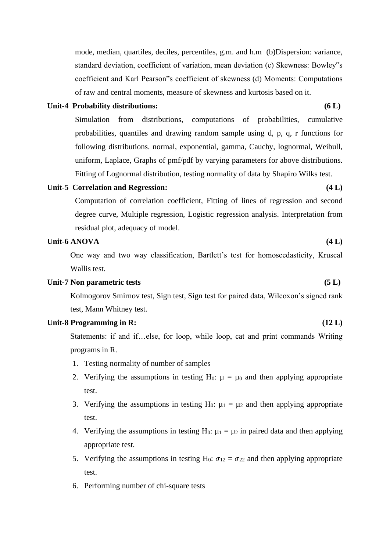mode, median, quartiles, deciles, percentiles, g.m. and h.m (b)Dispersion: variance, standard deviation, coefficient of variation, mean deviation (c) Skewness: Bowley"s coefficient and Karl Pearson"s coefficient of skewness (d) Moments: Computations of raw and central moments, measure of skewness and kurtosis based on it.

## Unit-4 Probability distributions: (6 L)

Simulation from distributions, computations of probabilities, cumulative probabilities, quantiles and drawing random sample using d, p, q, r functions for following distributions. normal, exponential, gamma, Cauchy, lognormal, Weibull, uniform, Laplace, Graphs of pmf/pdf by varying parameters for above distributions. Fitting of Lognormal distribution, testing normality of data by Shapiro Wilks test.

#### **Unit-5 Correlation and Regression: (4 L)**

Computation of correlation coefficient, Fitting of lines of regression and second degree curve, Multiple regression, Logistic regression analysis. Interpretation from residual plot, adequacy of model.

## Unit-6 ANOVA (4 L) **1996**

One way and two way classification, Bartlett's test for homoscedasticity, Kruscal Wallis test.

#### Unit-7 Non parametric tests (5 L)

Kolmogorov Smirnov test, Sign test, Sign test for paired data, Wilcoxon's signed rank test, Mann Whitney test.

### **Unit-8 Programming in R: (12 L)**

Statements: if and if…else, for loop, while loop, cat and print commands Writing programs in R.

- 1. Testing normality of number of samples
- 2. Verifying the assumptions in testing H<sub>0</sub>:  $\mu = \mu_0$  and then applying appropriate test.
- 3. Verifying the assumptions in testing H<sub>0</sub>:  $\mu_1 = \mu_2$  and then applying appropriate test.
- 4. Verifying the assumptions in testing H<sub>0</sub>:  $\mu_1 = \mu_2$  in paired data and then applying appropriate test.
- 5. Verifying the assumptions in testing H<sub>0</sub>:  $\sigma_{12} = \sigma_{22}$  and then applying appropriate test.
- 6. Performing number of chi-square tests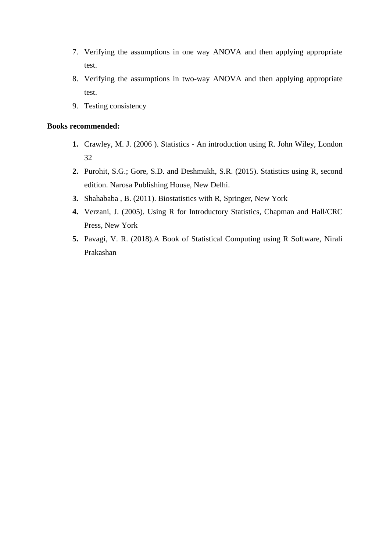- 7. Verifying the assumptions in one way ANOVA and then applying appropriate test.
- 8. Verifying the assumptions in two-way ANOVA and then applying appropriate test.
- 9. Testing consistency

## **Books recommended:**

- **1.** Crawley, M. J. (2006 ). Statistics An introduction using R. John Wiley, London 32
- **2.** Purohit, S.G.; Gore, S.D. and Deshmukh, S.R. (2015). Statistics using R, second edition. Narosa Publishing House, New Delhi.
- **3.** Shahababa , B. (2011). Biostatistics with R, Springer, New York
- **4.** Verzani, J. (2005). Using R for Introductory Statistics, Chapman and Hall/CRC Press, New York
- **5.** Pavagi, V. R. (2018).A Book of Statistical Computing using R Software, Nirali Prakashan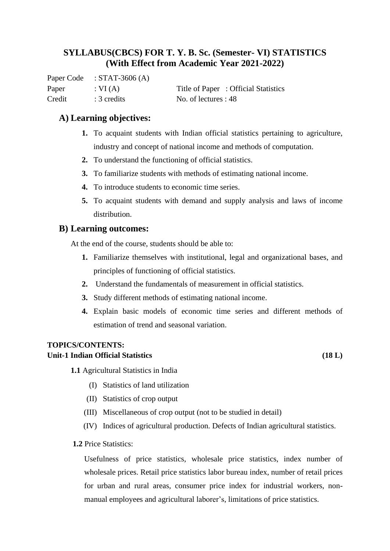Paper Code : STAT-3606 (A) Credit : 3 credits No. of lectures : 48

Paper : VI (A) Title of Paper : Official Statistics

## **A) Learning objectives:**

- **1.** To acquaint students with Indian official statistics pertaining to agriculture, industry and concept of national income and methods of computation.
- **2.** To understand the functioning of official statistics.
- **3.** To familiarize students with methods of estimating national income.
- **4.** To introduce students to economic time series.
- **5.** To acquaint students with demand and supply analysis and laws of income distribution.

## **B) Learning outcomes:**

At the end of the course, students should be able to:

- **1.** Familiarize themselves with institutional, legal and organizational bases, and principles of functioning of official statistics.
- **2.** Understand the fundamentals of measurement in official statistics.
- **3.** Study different methods of estimating national income.
- **4.** Explain basic models of economic time series and different methods of estimation of trend and seasonal variation.

## **TOPICS/CONTENTS:**

## **Unit-1 Indian Official Statistics (18 L)**

**1.1** Agricultural Statistics in India

- (I) Statistics of land utilization
- (II) Statistics of crop output
- (III) Miscellaneous of crop output (not to be studied in detail)
- (IV) Indices of agricultural production. Defects of Indian agricultural statistics.
- **1.2** Price Statistics:

Usefulness of price statistics, wholesale price statistics, index number of wholesale prices. Retail price statistics labor bureau index, number of retail prices for urban and rural areas, consumer price index for industrial workers, nonmanual employees and agricultural laborer's, limitations of price statistics.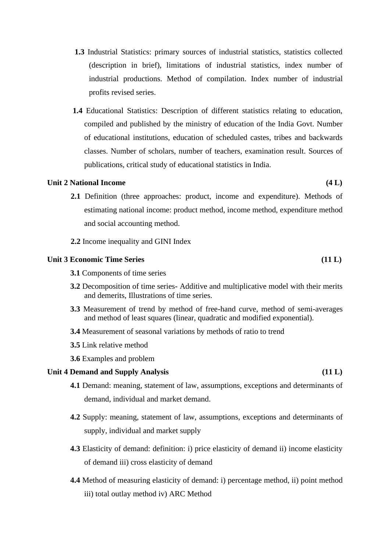- **1.3** Industrial Statistics: primary sources of industrial statistics, statistics collected (description in brief), limitations of industrial statistics, index number of industrial productions. Method of compilation. Index number of industrial profits revised series.
- **1.4** Educational Statistics: Description of different statistics relating to education, compiled and published by the ministry of education of the India Govt. Number of educational institutions, education of scheduled castes, tribes and backwards classes. Number of scholars, number of teachers, examination result. Sources of publications, critical study of educational statistics in India.

## **Unit 2 National Income (4 L)**

- **2.1** Definition (three approaches: product, income and expenditure). Methods of estimating national income: product method, income method, expenditure method and social accounting method.
- **2.2** Income inequality and GINI Index

#### **Unit 3 Economic Time Series (11 L)**

- **3.1** Components of time series
- **3.2** Decomposition of time series- Additive and multiplicative model with their merits and demerits, Illustrations of time series.
- **3.3** Measurement of trend by method of free-hand curve, method of semi-averages and method of least squares (linear, quadratic and modified exponential).
- **3.4** Measurement of seasonal variations by methods of ratio to trend
- **3.5** Link relative method
- **3.6** Examples and problem

#### **Unit 4 Demand and Supply Analysis (11 L)**

- **4.1** Demand: meaning, statement of law, assumptions, exceptions and determinants of demand, individual and market demand.
- **4.2** Supply: meaning, statement of law, assumptions, exceptions and determinants of supply, individual and market supply
- **4.3** Elasticity of demand: definition: i) price elasticity of demand ii) income elasticity of demand iii) cross elasticity of demand
- **4.4** Method of measuring elasticity of demand: i) percentage method, ii) point method iii) total outlay method iv) ARC Method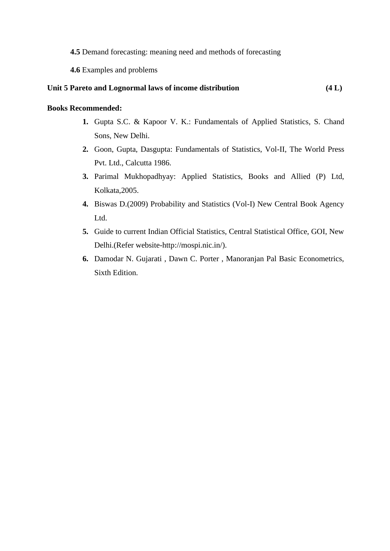**4.5** Demand forecasting: meaning need and methods of forecasting

**4.6** Examples and problems

## **Unit 5 Pareto and Lognormal laws of income distribution (4 L)**

## **Books Recommended:**

- **1.** Gupta S.C. & Kapoor V. K.: Fundamentals of Applied Statistics, S. Chand Sons, New Delhi.
- **2.** Goon, Gupta, Dasgupta: Fundamentals of Statistics, Vol-II, The World Press Pvt. Ltd., Calcutta 1986.
- **3.** Parimal Mukhopadhyay: Applied Statistics, Books and Allied (P) Ltd, Kolkata,2005.
- **4.** Biswas D.(2009) Probability and Statistics (Vol-I) New Central Book Agency Ltd.
- **5.** Guide to current Indian Official Statistics, Central Statistical Office, GOI, New Delhi.(Refer website-http://mospi.nic.in/).
- **6.** Damodar N. Gujarati , Dawn C. Porter , Manoranjan Pal Basic Econometrics, Sixth Edition.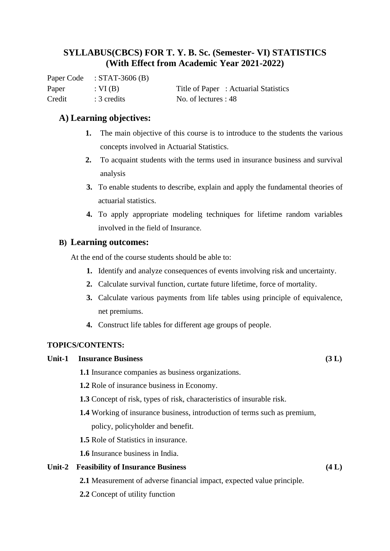Paper Code : STAT-3606 (B) Credit : 3 credits No. of lectures : 48

Paper : VI (B) Title of Paper : Actuarial Statistics

## **A) Learning objectives:**

- **1.** The main objective of this course is to introduce to the students the various concepts involved in Actuarial Statistics.
- **2.** To acquaint students with the terms used in insurance business and survival analysis
- **3.** To enable students to describe, explain and apply the fundamental theories of actuarial statistics.
- **4.** To apply appropriate modeling techniques for lifetime random variables involved in the field of Insurance.

## **B) Learning outcomes:**

At the end of the course students should be able to:

- **1.** Identify and analyze consequences of events involving risk and uncertainty.
- **2.** Calculate survival function, curtate future lifetime, force of mortality.
- **3.** Calculate various payments from life tables using principle of equivalence, net premiums.
- **4.** Construct life tables for different age groups of people.

## **TOPICS/CONTENTS:**

## **Unit-1 Insurance Business (3 L)**

**1.1** Insurance companies as business organizations.

- **1.2** Role of insurance business in Economy.
- **1.3** Concept of risk, types of risk, characteristics of insurable risk.
- **1.4** Working of insurance business, introduction of terms such as premium, policy, policyholder and benefit.
- **1.5** Role of Statistics in insurance.
- **1.6** Insurance business in India.

## **Unit-2 Feasibility of Insurance Business (4 L)**

- **2.1** Measurement of adverse financial impact, expected value principle.
- **2.2** Concept of utility function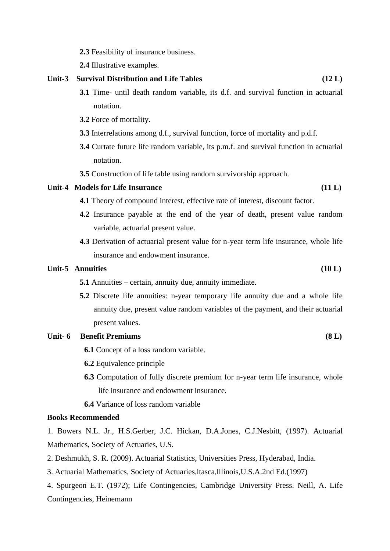**2.3** Feasibility of insurance business.

**2.4** Illustrative examples.

## **Unit-3 Survival Distribution and Life Tables (12 L)**

- **3.1** Time- until death random variable, its d.f. and survival function in actuarial notation.
- **3.2** Force of mortality.
- **3.3** Interrelations among d.f., survival function, force of mortality and p.d.f.
- **3.4** Curtate future life random variable, its p.m.f. and survival function in actuarial notation.
- **3.5** Construction of life table using random survivorship approach.

### Unit-4 Models for Life Insurance (11 L)

- **4.1** Theory of compound interest, effective rate of interest, discount factor.
- **4.2** Insurance payable at the end of the year of death, present value random variable, actuarial present value.
- **4.3** Derivation of actuarial present value for n-year term life insurance, whole life insurance and endowment insurance.

## Unit-5 Annuities (10 L)

- **5.1** Annuities certain, annuity due, annuity immediate.
- **5.2** Discrete life annuities: n-year temporary life annuity due and a whole life annuity due, present value random variables of the payment, and their actuarial present values.

## **Unit- 6 Benefit Premiums (8 L)**

**6.1** Concept of a loss random variable.

- **6.2** Equivalence principle
- **6.3** Computation of fully discrete premium for n-year term life insurance, whole life insurance and endowment insurance.
- **6.4** Variance of loss random variable

#### **Books Recommended**

1. Bowers N.L. Jr., H.S.Gerber, J.C. Hickan, D.A.Jones, C.J.Nesbitt, (1997). Actuarial Mathematics, Society of Actuaries, U.S.

- 2. Deshmukh, S. R. (2009). Actuarial Statistics, Universities Press, Hyderabad, India.
- 3. Actuarial Mathematics, Society of Actuaries,ltasca,lllinois,U.S.A.2nd Ed.(1997)
- 4. Spurgeon E.T. (1972); Life Contingencies, Cambridge University Press. Neill, A. Life Contingencies, Heinemann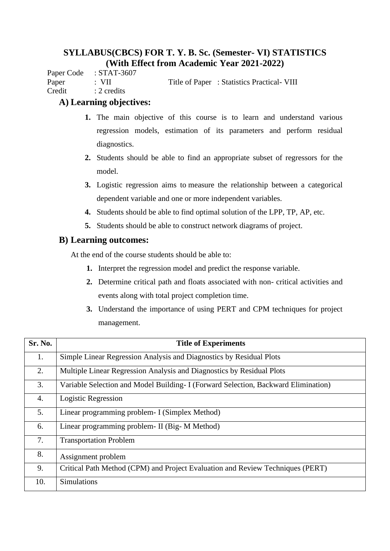Paper Code : STAT-3607

Paper : VII Title of Paper : Statistics Practical- VIII

Credit : 2 credits

## **A) Learning objectives:**

- **1.** The main objective of this course is to learn and understand various regression models, estimation of its parameters and perform residual diagnostics.
- **2.** Students should be able to find an appropriate subset of regressors for the model.
- **3.** Logistic regression aims to measure the relationship between a categorical dependent variable and one or more independent variables.
- **4.** Students should be able to find optimal solution of the LPP, TP, AP, etc.
- **5.** Students should be able to construct network diagrams of project.

## **B) Learning outcomes:**

At the end of the course students should be able to:

- **1.** Interpret the regression model and predict the response variable.
- **2.** Determine critical path and floats associated with non- critical activities and events along with total project completion time.
- **3.** Understand the importance of using PERT and CPM techniques for project management.

| Sr. No. | <b>Title of Experiments</b>                                                        |
|---------|------------------------------------------------------------------------------------|
| 1.      | Simple Linear Regression Analysis and Diagnostics by Residual Plots                |
| 2.      | Multiple Linear Regression Analysis and Diagnostics by Residual Plots              |
| 3.      | Variable Selection and Model Building- I (Forward Selection, Backward Elimination) |
| 4.      | Logistic Regression                                                                |
| 5.      | Linear programming problem- I (Simplex Method)                                     |
| 6.      | Linear programming problem- II (Big- M Method)                                     |
| 7.      | <b>Transportation Problem</b>                                                      |
| 8.      | Assignment problem                                                                 |
| 9.      | Critical Path Method (CPM) and Project Evaluation and Review Techniques (PERT)     |
| 10.     | <b>Simulations</b>                                                                 |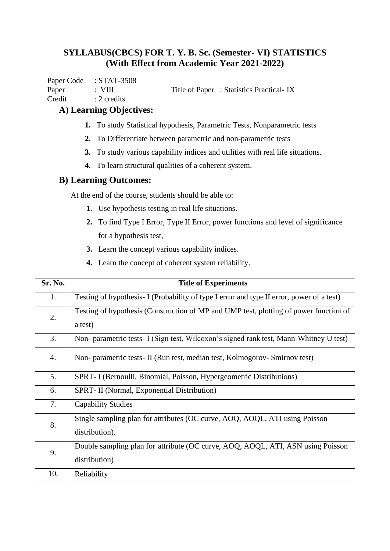Paper Code : STAT-3508 Paper : VIII Title of Paper : Statistics Practical- IX Credit : 2 credits

**A) Learning Objectives:**

- **1.** To study Statistical hypothesis, Parametric Tests, Nonparametric tests
- **2.** To Differentiate between parametric and non-parametric tests
- **3.** To study various capability indices and utilities with real life situations.
- **4.** To learn structural qualities of a coherent system.

## **B) Learning Outcomes:**

At the end of the course, students should be able to:

- **1.** Use hypothesis testing in real life situations.
- **2.** To find Type I Error, Type II Error, power functions and level of significance for a hypothesis test,
- **3.** Learn the concept various capability indices.
- **4.** Learn the concept of coherent system reliability.

| Sr. No. | <b>Title of Experiments</b>                                                                      |
|---------|--------------------------------------------------------------------------------------------------|
| 1.      | Testing of hypothesis- I (Probability of type I error and type II error, power of a test)        |
| 2.      | Testing of hypothesis (Construction of MP and UMP test, plotting of power function of<br>a test) |
| 3.      | Non- parametric tests- I (Sign test, Wilcoxon's signed rank test, Mann-Whitney U test)           |
| 4.      | Non- parametric tests- II (Run test, median test, Kolmogorov- Smirnov test)                      |
| 5.      | SPRT- I (Bernoulli, Binomial, Poisson, Hypergeometric Distributions)                             |
| 6.      | SPRT- II (Normal, Exponential Distribution)                                                      |
| 7.      | <b>Capability Studies</b>                                                                        |
| 8.      | Single sampling plan for attributes (OC curve, AOQ, AOQL, ATI using Poisson<br>distribution).    |
| 9.      | Double sampling plan for attribute (OC curve, AOQ, AOQL, ATI, ASN using Poisson<br>distribution) |
| 10.     | Reliability                                                                                      |